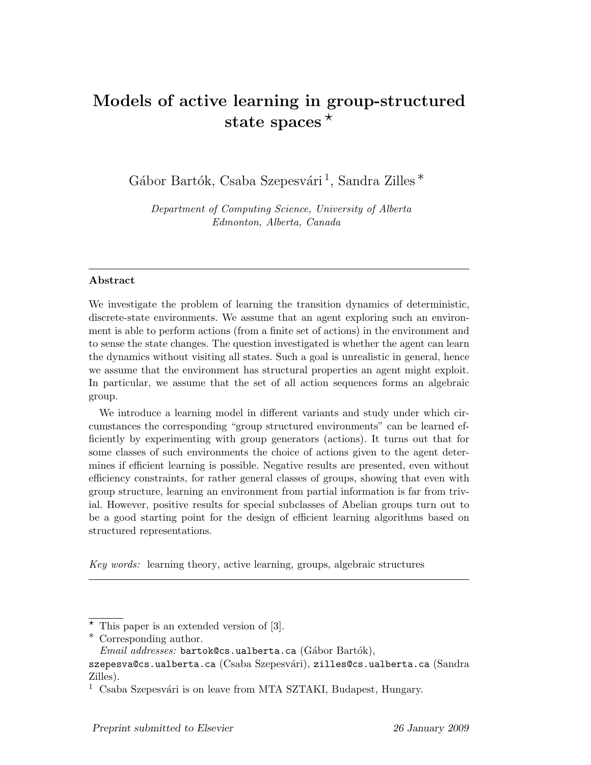# Models of active learning in group-structured state spaces  $*$

Gábor Bartók, Csaba Szepesvári<sup>1</sup>, Sandra Zilles<sup>\*</sup>

Department of Computing Science, University of Alberta Edmonton, Alberta, Canada

#### Abstract

We investigate the problem of learning the transition dynamics of deterministic, discrete-state environments. We assume that an agent exploring such an environment is able to perform actions (from a finite set of actions) in the environment and to sense the state changes. The question investigated is whether the agent can learn the dynamics without visiting all states. Such a goal is unrealistic in general, hence we assume that the environment has structural properties an agent might exploit. In particular, we assume that the set of all action sequences forms an algebraic group.

We introduce a learning model in different variants and study under which circumstances the corresponding "group structured environments" can be learned efficiently by experimenting with group generators (actions). It turns out that for some classes of such environments the choice of actions given to the agent determines if efficient learning is possible. Negative results are presented, even without efficiency constraints, for rather general classes of groups, showing that even with group structure, learning an environment from partial information is far from trivial. However, positive results for special subclasses of Abelian groups turn out to be a good starting point for the design of efficient learning algorithms based on structured representations.

Key words: learning theory, active learning, groups, algebraic structures

 $*$  This paper is an extended version of [3].

<sup>∗</sup> Corresponding author.

 $Email \;addresses:$  bartok@cs.ualberta.ca (Gábor Bartók),

szepesva@cs.ualberta.ca (Csaba Szepesvári), zilles@cs.ualberta.ca (Sandra Zilles).

 $1$  Csaba Szepesvári is on leave from MTA SZTAKI, Budapest, Hungary.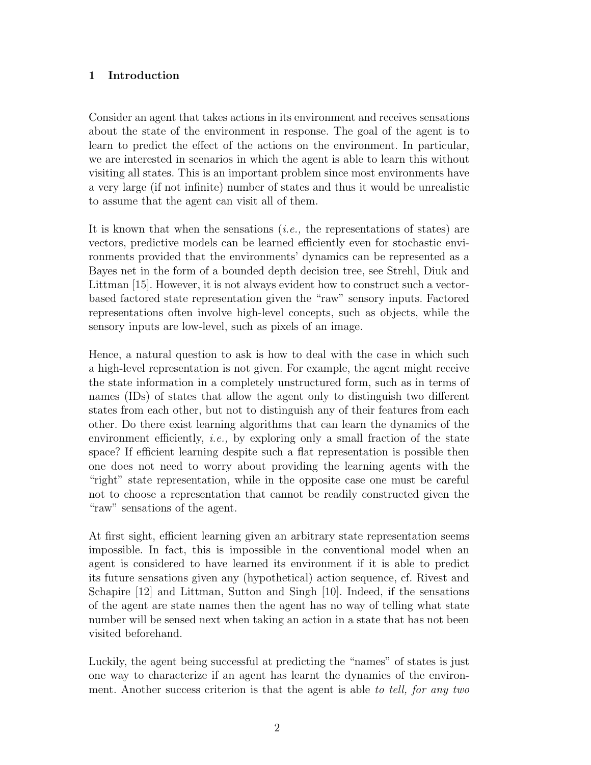## 1 Introduction

Consider an agent that takes actions in its environment and receives sensations about the state of the environment in response. The goal of the agent is to learn to predict the effect of the actions on the environment. In particular, we are interested in scenarios in which the agent is able to learn this without visiting all states. This is an important problem since most environments have a very large (if not infinite) number of states and thus it would be unrealistic to assume that the agent can visit all of them.

It is known that when the sensations  $(i.e.,$  the representations of states) are vectors, predictive models can be learned efficiently even for stochastic environments provided that the environments' dynamics can be represented as a Bayes net in the form of a bounded depth decision tree, see Strehl, Diuk and Littman [15]. However, it is not always evident how to construct such a vectorbased factored state representation given the "raw" sensory inputs. Factored representations often involve high-level concepts, such as objects, while the sensory inputs are low-level, such as pixels of an image.

Hence, a natural question to ask is how to deal with the case in which such a high-level representation is not given. For example, the agent might receive the state information in a completely unstructured form, such as in terms of names (IDs) of states that allow the agent only to distinguish two different states from each other, but not to distinguish any of their features from each other. Do there exist learning algorithms that can learn the dynamics of the environment efficiently, *i.e.*, by exploring only a small fraction of the state space? If efficient learning despite such a flat representation is possible then one does not need to worry about providing the learning agents with the "right" state representation, while in the opposite case one must be careful not to choose a representation that cannot be readily constructed given the "raw" sensations of the agent.

At first sight, efficient learning given an arbitrary state representation seems impossible. In fact, this is impossible in the conventional model when an agent is considered to have learned its environment if it is able to predict its future sensations given any (hypothetical) action sequence, cf. Rivest and Schapire [12] and Littman, Sutton and Singh [10]. Indeed, if the sensations of the agent are state names then the agent has no way of telling what state number will be sensed next when taking an action in a state that has not been visited beforehand.

Luckily, the agent being successful at predicting the "names" of states is just one way to characterize if an agent has learnt the dynamics of the environment. Another success criterion is that the agent is able to tell, for any two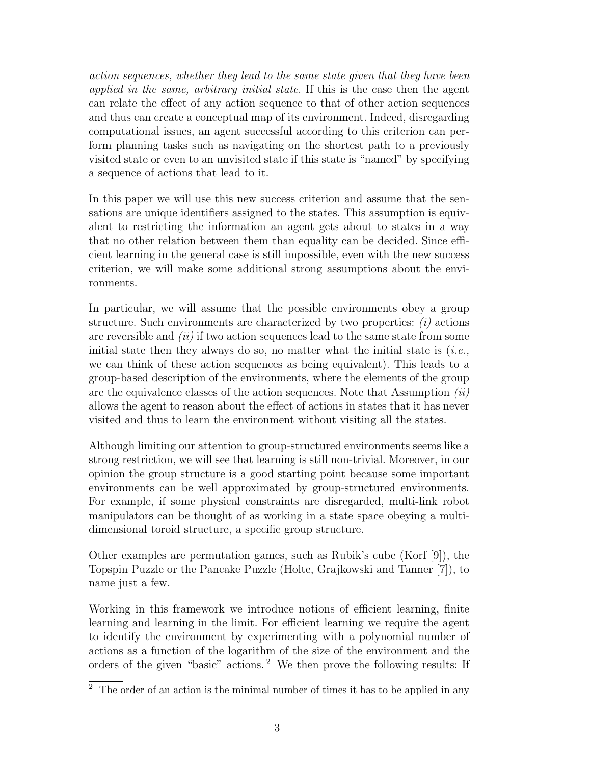action sequences, whether they lead to the same state given that they have been applied in the same, arbitrary initial state. If this is the case then the agent can relate the effect of any action sequence to that of other action sequences and thus can create a conceptual map of its environment. Indeed, disregarding computational issues, an agent successful according to this criterion can perform planning tasks such as navigating on the shortest path to a previously visited state or even to an unvisited state if this state is "named" by specifying a sequence of actions that lead to it.

In this paper we will use this new success criterion and assume that the sensations are unique identifiers assigned to the states. This assumption is equivalent to restricting the information an agent gets about to states in a way that no other relation between them than equality can be decided. Since efficient learning in the general case is still impossible, even with the new success criterion, we will make some additional strong assumptions about the environments.

In particular, we will assume that the possible environments obey a group structure. Such environments are characterized by two properties:  $(i)$  actions are reversible and  $(ii)$  if two action sequences lead to the same state from some initial state then they always do so, no matter what the initial state is  $(i.e.,$ we can think of these action sequences as being equivalent). This leads to a group-based description of the environments, where the elements of the group are the equivalence classes of the action sequences. Note that Assumption  $(ii)$ allows the agent to reason about the effect of actions in states that it has never visited and thus to learn the environment without visiting all the states.

Although limiting our attention to group-structured environments seems like a strong restriction, we will see that learning is still non-trivial. Moreover, in our opinion the group structure is a good starting point because some important environments can be well approximated by group-structured environments. For example, if some physical constraints are disregarded, multi-link robot manipulators can be thought of as working in a state space obeying a multidimensional toroid structure, a specific group structure.

Other examples are permutation games, such as Rubik's cube (Korf [9]), the Topspin Puzzle or the Pancake Puzzle (Holte, Grajkowski and Tanner [7]), to name just a few.

Working in this framework we introduce notions of efficient learning, finite learning and learning in the limit. For efficient learning we require the agent to identify the environment by experimenting with a polynomial number of actions as a function of the logarithm of the size of the environment and the orders of the given "basic" actions. <sup>2</sup> We then prove the following results: If

 $\overline{2}$  The order of an action is the minimal number of times it has to be applied in any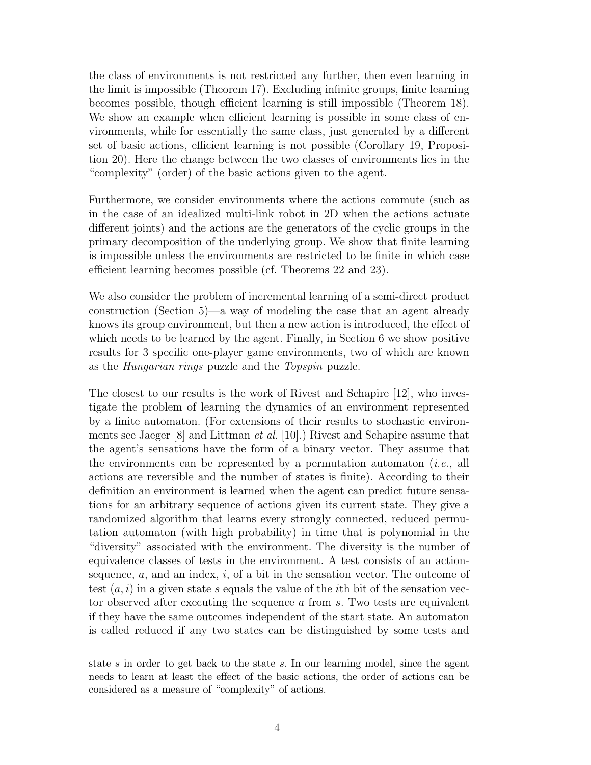the class of environments is not restricted any further, then even learning in the limit is impossible (Theorem 17). Excluding infinite groups, finite learning becomes possible, though efficient learning is still impossible (Theorem 18). We show an example when efficient learning is possible in some class of environments, while for essentially the same class, just generated by a different set of basic actions, efficient learning is not possible (Corollary 19, Proposition 20). Here the change between the two classes of environments lies in the "complexity" (order) of the basic actions given to the agent.

Furthermore, we consider environments where the actions commute (such as in the case of an idealized multi-link robot in 2D when the actions actuate different joints) and the actions are the generators of the cyclic groups in the primary decomposition of the underlying group. We show that finite learning is impossible unless the environments are restricted to be finite in which case efficient learning becomes possible (cf. Theorems 22 and 23).

We also consider the problem of incremental learning of a semi-direct product construction (Section 5)—a way of modeling the case that an agent already knows its group environment, but then a new action is introduced, the effect of which needs to be learned by the agent. Finally, in Section 6 we show positive results for 3 specific one-player game environments, two of which are known as the Hungarian rings puzzle and the Topspin puzzle.

The closest to our results is the work of Rivest and Schapire [12], who investigate the problem of learning the dynamics of an environment represented by a finite automaton. (For extensions of their results to stochastic environments see Jaeger [8] and Littman et al. [10].) Rivest and Schapire assume that the agent's sensations have the form of a binary vector. They assume that the environments can be represented by a permutation automaton (*i.e.*, all actions are reversible and the number of states is finite). According to their definition an environment is learned when the agent can predict future sensations for an arbitrary sequence of actions given its current state. They give a randomized algorithm that learns every strongly connected, reduced permutation automaton (with high probability) in time that is polynomial in the "diversity" associated with the environment. The diversity is the number of equivalence classes of tests in the environment. A test consists of an actionsequence,  $a$ , and an index,  $i$ , of a bit in the sensation vector. The outcome of test  $(a, i)$  in a given state s equals the value of the *i*th bit of the sensation vector observed after executing the sequence a from s. Two tests are equivalent if they have the same outcomes independent of the start state. An automaton is called reduced if any two states can be distinguished by some tests and

state s in order to get back to the state s. In our learning model, since the agent needs to learn at least the effect of the basic actions, the order of actions can be considered as a measure of "complexity" of actions.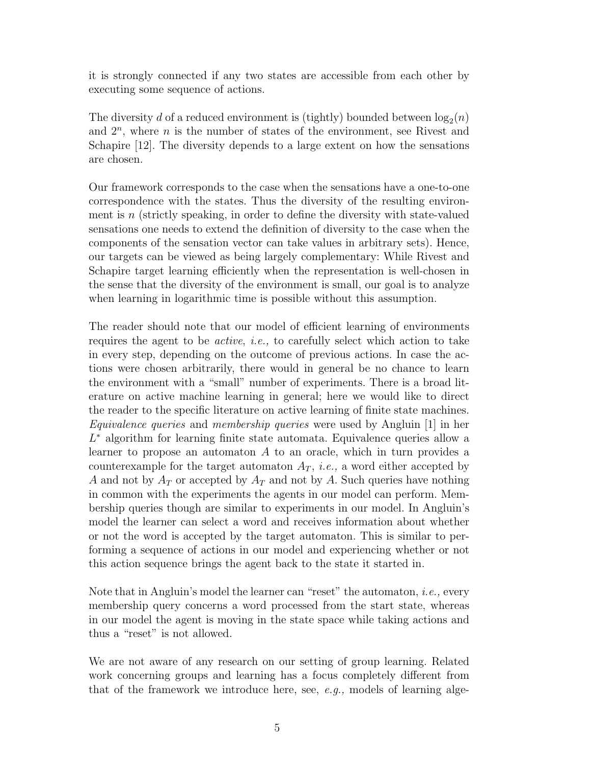it is strongly connected if any two states are accessible from each other by executing some sequence of actions.

The diversity *d* of a reduced environment is (tightly) bounded between  $log_2(n)$ and  $2^n$ , where *n* is the number of states of the environment, see Rivest and Schapire [12]. The diversity depends to a large extent on how the sensations are chosen.

Our framework corresponds to the case when the sensations have a one-to-one correspondence with the states. Thus the diversity of the resulting environment is  $n$  (strictly speaking, in order to define the diversity with state-valued sensations one needs to extend the definition of diversity to the case when the components of the sensation vector can take values in arbitrary sets). Hence, our targets can be viewed as being largely complementary: While Rivest and Schapire target learning efficiently when the representation is well-chosen in the sense that the diversity of the environment is small, our goal is to analyze when learning in logarithmic time is possible without this assumption.

The reader should note that our model of efficient learning of environments requires the agent to be active, i.e., to carefully select which action to take in every step, depending on the outcome of previous actions. In case the actions were chosen arbitrarily, there would in general be no chance to learn the environment with a "small" number of experiments. There is a broad literature on active machine learning in general; here we would like to direct the reader to the specific literature on active learning of finite state machines. Equivalence queries and membership queries were used by Angluin [1] in her L <sup>∗</sup> algorithm for learning finite state automata. Equivalence queries allow a learner to propose an automaton A to an oracle, which in turn provides a counterexample for the target automaton  $A_T$ , *i.e.*, a word either accepted by A and not by  $A_T$  or accepted by  $A_T$  and not by A. Such queries have nothing in common with the experiments the agents in our model can perform. Membership queries though are similar to experiments in our model. In Angluin's model the learner can select a word and receives information about whether or not the word is accepted by the target automaton. This is similar to performing a sequence of actions in our model and experiencing whether or not this action sequence brings the agent back to the state it started in.

Note that in Angluin's model the learner can "reset" the automaton, *i.e.*, every membership query concerns a word processed from the start state, whereas in our model the agent is moving in the state space while taking actions and thus a "reset" is not allowed.

We are not aware of any research on our setting of group learning. Related work concerning groups and learning has a focus completely different from that of the framework we introduce here, see,  $e.g.,$  models of learning alge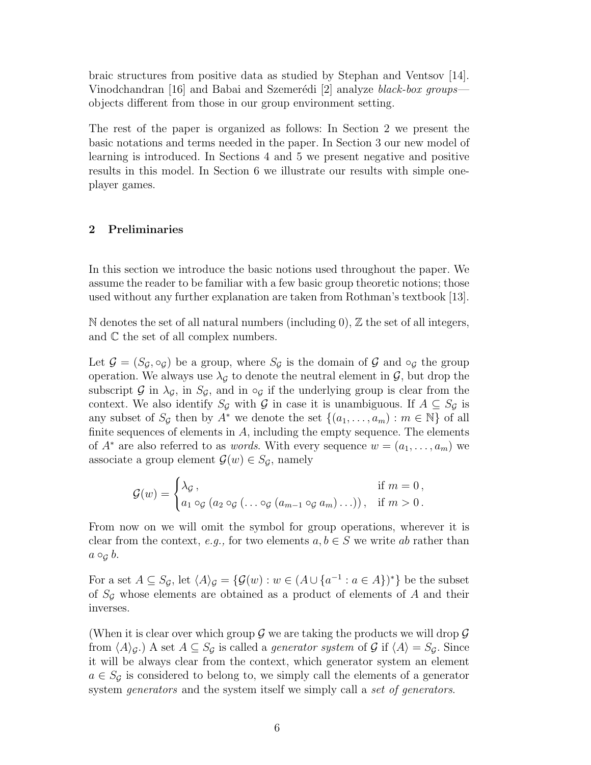braic structures from positive data as studied by Stephan and Ventsov [14]. Vinodchandran [16] and Babai and Szemerédi [2] analyze black-box groups objects different from those in our group environment setting.

The rest of the paper is organized as follows: In Section 2 we present the basic notations and terms needed in the paper. In Section 3 our new model of learning is introduced. In Sections 4 and 5 we present negative and positive results in this model. In Section 6 we illustrate our results with simple oneplayer games.

## 2 Preliminaries

In this section we introduce the basic notions used throughout the paper. We assume the reader to be familiar with a few basic group theoretic notions; those used without any further explanation are taken from Rothman's textbook [13].

N denotes the set of all natural numbers (including 0),  $\mathbb Z$  the set of all integers, and C the set of all complex numbers.

Let  $\mathcal{G} = (S_{\mathcal{G}}, \circ_{\mathcal{G}})$  be a group, where  $S_{\mathcal{G}}$  is the domain of  $\mathcal{G}$  and  $\circ_{\mathcal{G}}$  the group operation. We always use  $\lambda_{\mathcal{G}}$  to denote the neutral element in  $\mathcal{G}$ , but drop the subscript G in  $\lambda_{\mathcal{G}}$ , in  $S_{\mathcal{G}}$ , and in  $\circ_{\mathcal{G}}$  if the underlying group is clear from the context. We also identify  $S_g$  with G in case it is unambiguous. If  $A \subseteq S_g$  is any subset of  $S_G$  then by  $A^*$  we denote the set  $\{(a_1, \ldots, a_m) : m \in \mathbb{N}\}\$  of all finite sequences of elements in  $A$ , including the empty sequence. The elements of  $A^*$  are also referred to as *words*. With every sequence  $w = (a_1, \ldots, a_m)$  we associate a group element  $\mathcal{G}(w) \in S_{\mathcal{G}}$ , namely

$$
\mathcal{G}(w) = \begin{cases} \lambda_{\mathcal{G}} \,, & \text{if } m = 0 \,, \\ a_1 \circ_{\mathcal{G}} (a_2 \circ_{\mathcal{G}} (\ldots \circ_{\mathcal{G}} (a_{m-1} \circ_{\mathcal{G}} a_m) \ldots)) \,, & \text{if } m > 0 \,. \end{cases}
$$

From now on we will omit the symbol for group operations, wherever it is clear from the context, e.g., for two elements  $a, b \in S$  we write ab rather than  $a \circ_{\mathcal{G}} b$ .

For a set  $A \subseteq S_{\mathcal{G}}$ , let  $\langle A \rangle_{\mathcal{G}} = {\{\mathcal{G}(w) : w \in (A \cup \{a^{-1} : a \in A\})^*\}}$  be the subset of  $S_{\mathcal{G}}$  whose elements are obtained as a product of elements of A and their inverses.

(When it is clear over which group  $\mathcal G$  we are taking the products we will drop  $\mathcal G$ from  $\langle A \rangle_{\mathcal{G}}$ .) A set  $A \subseteq S_{\mathcal{G}}$  is called a *generator system* of  $\mathcal{G}$  if  $\langle A \rangle = S_{\mathcal{G}}$ . Since it will be always clear from the context, which generator system an element  $a \in S_G$  is considered to belong to, we simply call the elements of a generator system *generators* and the system itself we simply call a set of generators.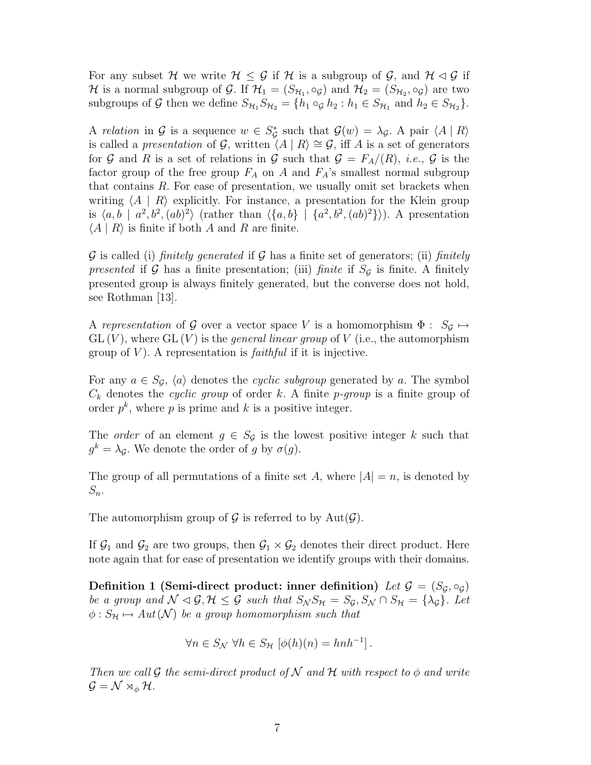For any subset H we write  $H \leq \mathcal{G}$  if H is a subgroup of  $\mathcal{G}$ , and  $\mathcal{H} \lhd \mathcal{G}$  if  $\mathcal H$  is a normal subgroup of  $\mathcal G$ . If  $\mathcal H_1=(S_{\mathcal H_1},\circ_{\mathcal G})$  and  $\mathcal H_2=(S_{\mathcal H_2},\circ_{\mathcal G})$  are two subgroups of G then we define  $S_{\mathcal{H}_1} S_{\mathcal{H}_2} = \{h_1 \circ_{\mathcal{G}} h_2 : h_1 \in S_{\mathcal{H}_1} \text{ and } h_2 \in S_{\mathcal{H}_2}\}.$ 

A relation in G is a sequence  $w \in S^*_{\mathcal{G}}$  such that  $\mathcal{G}(w) = \lambda_{\mathcal{G}}$ . A pair  $\langle A | R \rangle$ is called a *presentation* of G, written  $\langle A | R \rangle \cong G$ , iff A is a set of generators for G and R is a set of relations in G such that  $\mathcal{G} = F_A/(R)$ , *i.e.*, G is the factor group of the free group  $F_A$  on A and  $F_A$ 's smallest normal subgroup that contains  $R$ . For ease of presentation, we usually omit set brackets when writing  $\langle A | R \rangle$  explicitly. For instance, a presentation for the Klein group is  $\langle a, b \mid a^2, b^2, (ab)^2 \rangle$  (rather than  $\langle \{a, b\} \mid \{a^2, b^2, (ab)^2\} \rangle$ ). A presentation  $\langle A | R \rangle$  is finite if both A and R are finite.

 $\mathcal G$  is called (i) finitely generated if  $\mathcal G$  has a finite set of generators; (ii) finitely presented if G has a finite presentation; (iii) finite if  $S_{\mathcal{G}}$  is finite. A finitely presented group is always finitely generated, but the converse does not hold, see Rothman [13].

A representation of G over a vector space V is a homomorphism  $\Phi : S_{\mathcal{G}} \mapsto$  $GL(V)$ , where  $GL(V)$  is the *general linear group* of V (i.e., the automorphism group of  $V$ ). A representation is *faithful* if it is injective.

For any  $a \in S_{\mathcal{G}}$ ,  $\langle a \rangle$  denotes the *cyclic subgroup* generated by a. The symbol  $C_k$  denotes the cyclic group of order k. A finite p-group is a finite group of order  $p^k$ , where p is prime and k is a positive integer.

The *order* of an element  $g \in S_{\mathcal{G}}$  is the lowest positive integer k such that  $g^k = \lambda_{\mathcal{G}}$ . We denote the order of g by  $\sigma(g)$ .

The group of all permutations of a finite set A, where  $|A| = n$ , is denoted by  $S_n$ .

The automorphism group of  $\mathcal G$  is referred to by  $\mathrm{Aut}(\mathcal G)$ .

If  $\mathcal{G}_1$  and  $\mathcal{G}_2$  are two groups, then  $\mathcal{G}_1 \times \mathcal{G}_2$  denotes their direct product. Here note again that for ease of presentation we identify groups with their domains.

Definition 1 (Semi-direct product: inner definition) Let  $\mathcal{G} = (S_{\mathcal{G}}, \circ_{\mathcal{G}})$ be a group and  $\mathcal{N} \lhd \mathcal{G}, \mathcal{H} \leq \mathcal{G}$  such that  $S_{\mathcal{N}} S_{\mathcal{H}} = S_{\mathcal{G}}, S_{\mathcal{N}} \cap S_{\mathcal{H}} = {\lambda_{\mathcal{G}}}.$  Let  $\phi: S_{\mathcal{H}} \mapsto Aut(\mathcal{N})$  be a group homomorphism such that

$$
\forall n \in S_{\mathcal{N}} \ \forall h \in S_{\mathcal{H}} \ [\phi(h)(n) = hnh^{-1}].
$$

Then we call G the semi-direct product of N and H with respect to  $\phi$  and write  $\mathcal{G} = \mathcal{N} \rtimes_{\phi} \mathcal{H}.$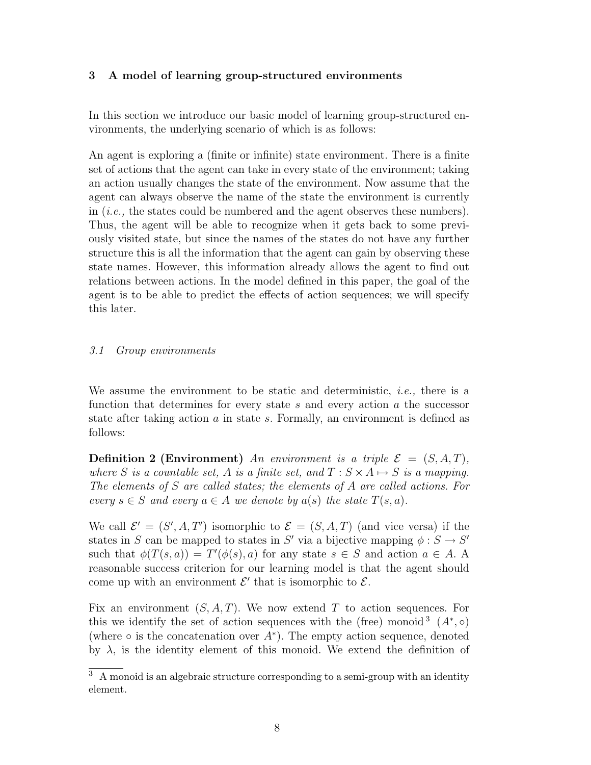#### 3 A model of learning group-structured environments

In this section we introduce our basic model of learning group-structured environments, the underlying scenario of which is as follows:

An agent is exploring a (finite or infinite) state environment. There is a finite set of actions that the agent can take in every state of the environment; taking an action usually changes the state of the environment. Now assume that the agent can always observe the name of the state the environment is currently in (i.e., the states could be numbered and the agent observes these numbers). Thus, the agent will be able to recognize when it gets back to some previously visited state, but since the names of the states do not have any further structure this is all the information that the agent can gain by observing these state names. However, this information already allows the agent to find out relations between actions. In the model defined in this paper, the goal of the agent is to be able to predict the effects of action sequences; we will specify this later.

#### 3.1 Group environments

We assume the environment to be static and deterministic, *i.e.*, there is a function that determines for every state s and every action  $a$  the successor state after taking action a in state s. Formally, an environment is defined as follows:

**Definition 2 (Environment)** An environment is a triple  $\mathcal{E} = (S, A, T)$ , where S is a countable set, A is a finite set, and  $T : S \times A \mapsto S$  is a mapping. The elements of S are called states; the elements of A are called actions. For every  $s \in S$  and every  $a \in A$  we denote by  $a(s)$  the state  $T(s, a)$ .

We call  $\mathcal{E}' = (S', A, T')$  isomorphic to  $\mathcal{E} = (S, A, T)$  (and vice versa) if the states in S can be mapped to states in S' via a bijective mapping  $\phi : S \to S'$ such that  $\phi(T(s, a)) = T'(\phi(s), a)$  for any state  $s \in S$  and action  $a \in A$ . A reasonable success criterion for our learning model is that the agent should come up with an environment  $\mathcal{E}'$  that is isomorphic to  $\mathcal{E}$ .

Fix an environment  $(S, A, T)$ . We now extend T to action sequences. For this we identify the set of action sequences with the (free) monoid<sup>3</sup>  $(A^*, \circ)$ (where  $\circ$  is the concatenation over  $A^*$ ). The empty action sequence, denoted by  $\lambda$ , is the identity element of this monoid. We extend the definition of

 $\overline{3\,}$  A monoid is an algebraic structure corresponding to a semi-group with an identity element.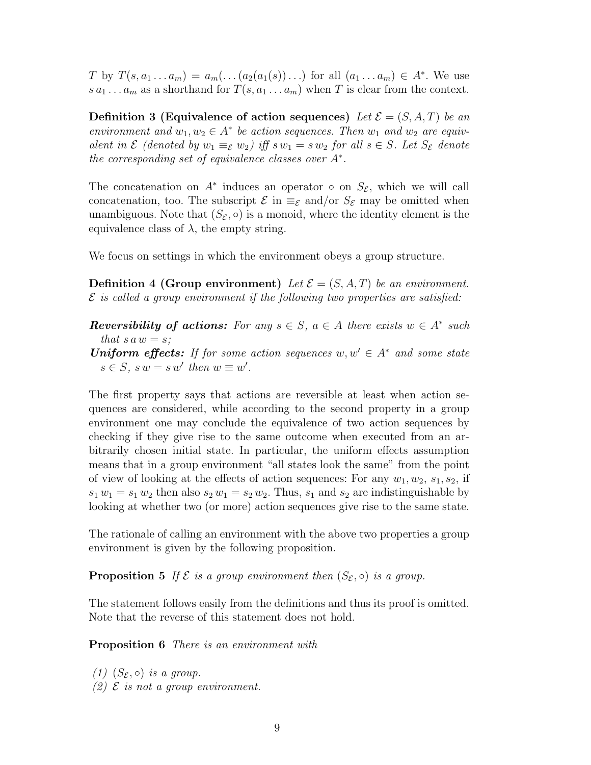T by  $T(s, a_1 ... a_m) = a_m(...(a_2(a_1(s))...)$  for all  $(a_1 ... a_m) \in A^*$ . We use  $s a_1 \dots a_m$  as a shorthand for  $T(s, a_1 \dots a_m)$  when T is clear from the context.

Definition 3 (Equivalence of action sequences) Let  $\mathcal{E} = (S, A, T)$  be an environment and  $w_1, w_2 \in A^*$  be action sequences. Then  $w_1$  and  $w_2$  are equivalent in  $\mathcal E$  (denoted by  $w_1 \equiv_{\mathcal E} w_2$ ) iff  $sw_1 = sw_2$  for all  $s \in S$ . Let  $S_{\mathcal E}$  denote the corresponding set of equivalence classes over  $A^*$ .

The concatenation on  $A^*$  induces an operator  $\circ$  on  $S_{\mathcal{E}}$ , which we will call concatenation, too. The subscript  $\mathcal E$  in  $\equiv_{\mathcal E}$  and/or  $S_{\mathcal E}$  may be omitted when unambiguous. Note that  $(S_{\mathcal{E}}, \circ)$  is a monoid, where the identity element is the equivalence class of  $\lambda$ , the empty string.

We focus on settings in which the environment obeys a group structure.

**Definition 4 (Group environment)** Let  $\mathcal{E} = (S, A, T)$  be an environment.  $\mathcal E$  is called a group environment if the following two properties are satisfied:

- **Reversibility of actions:** For any  $s \in S$ ,  $a \in A$  there exists  $w \in A^*$  such that  $s \, a \, w = s$ ;
- **Uniform effects:** If for some action sequences  $w, w' \in A^*$  and some state  $s \in S$ ,  $sw = sw'$  then  $w \equiv w'$ .

The first property says that actions are reversible at least when action sequences are considered, while according to the second property in a group environment one may conclude the equivalence of two action sequences by checking if they give rise to the same outcome when executed from an arbitrarily chosen initial state. In particular, the uniform effects assumption means that in a group environment "all states look the same" from the point of view of looking at the effects of action sequences: For any  $w_1, w_2, s_1, s_2$ , if  $s_1 w_1 = s_1 w_2$  then also  $s_2 w_1 = s_2 w_2$ . Thus,  $s_1$  and  $s_2$  are indistinguishable by looking at whether two (or more) action sequences give rise to the same state.

The rationale of calling an environment with the above two properties a group environment is given by the following proposition.

**Proposition 5** If  $\mathcal{E}$  is a group environment then  $(S_{\mathcal{E}}, \circ)$  is a group.

The statement follows easily from the definitions and thus its proof is omitted. Note that the reverse of this statement does not hold.

Proposition 6 There is an environment with

(1)  $(S_{\mathcal{E}}, \circ)$  is a group. (2)  $\mathcal E$  is not a group environment.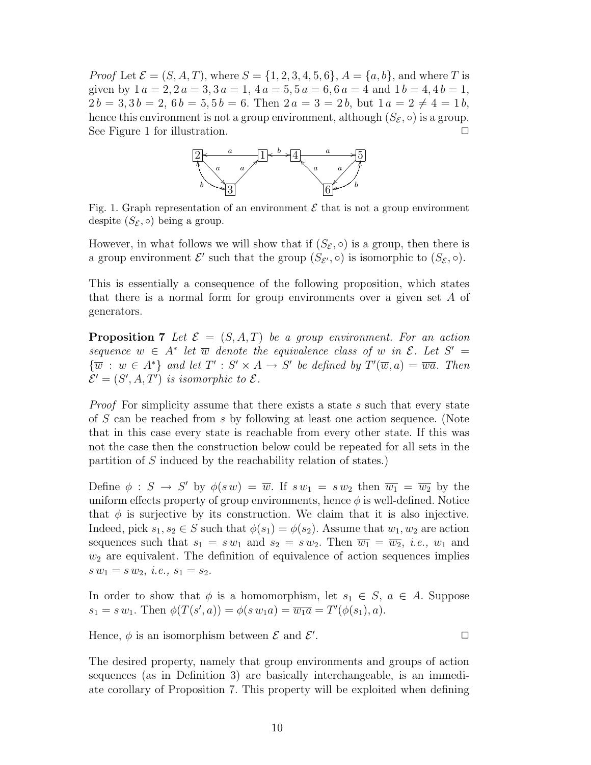*Proof* Let  $\mathcal{E} = (S, A, T)$ , where  $S = \{1, 2, 3, 4, 5, 6\}$ ,  $A = \{a, b\}$ , and where T is given by  $1 a = 2, 2 a = 3, 3 a = 1, 4 a = 5, 5 a = 6, 6 a = 4$  and  $1 b = 4, 4 b = 1,$  $2b = 3, 3b = 2, 6b = 5, 5b = 6.$  Then  $2a = 3 = 2b$ , but  $1a = 2 \neq 4 = 1b$ , hence this environment is not a group environment, although  $(S_{\mathcal{E}}, \circ)$  is a group. See Figure 1 for illustration.  $\Box$ 



Fig. 1. Graph representation of an environment  $\mathcal E$  that is not a group environment despite  $(S_{\mathcal{E}}, \circ)$  being a group.

However, in what follows we will show that if  $(S_{\mathcal{E}}, \circ)$  is a group, then there is a group environment  $\mathcal{E}'$  such that the group  $(S_{\mathcal{E}'}, \circ)$  is isomorphic to  $(S_{\mathcal{E}}, \circ)$ .

This is essentially a consequence of the following proposition, which states that there is a normal form for group environments over a given set A of generators.

**Proposition 7** Let  $\mathcal{E} = (S, A, T)$  be a group environment. For an action sequence  $w \in A^*$  let  $\overline{w}$  denote the equivalence class of w in  $\mathcal{E}$ . Let  $S' =$  $\{\overline{w}: w \in A^*\}$  and let  $T': S' \times A \to S'$  be defined by  $T'(\overline{w}, a) = \overline{wa}$ . Then  $\mathcal{E}' = (S', A, T')$  is isomorphic to  $\mathcal{E}$ .

*Proof* For simplicity assume that there exists a state s such that every state of S can be reached from s by following at least one action sequence. (Note that in this case every state is reachable from every other state. If this was not the case then the construction below could be repeated for all sets in the partition of S induced by the reachability relation of states.)

Define  $\phi : S \to S'$  by  $\phi(s w) = \overline{w}$ . If  $s w_1 = s w_2$  then  $\overline{w_1} = \overline{w_2}$  by the uniform effects property of group environments, hence  $\phi$  is well-defined. Notice that  $\phi$  is surjective by its construction. We claim that it is also injective. Indeed, pick  $s_1, s_2 \in S$  such that  $\phi(s_1) = \phi(s_2)$ . Assume that  $w_1, w_2$  are action sequences such that  $s_1 = sw_1$  and  $s_2 = sw_2$ . Then  $\overline{w_1} = \overline{w_2}$ , *i.e.*,  $w_1$  and  $w_2$  are equivalent. The definition of equivalence of action sequences implies  $s w_1 = s w_2, i.e., s_1 = s_2.$ 

In order to show that  $\phi$  is a homomorphism, let  $s_1 \in S$ ,  $a \in A$ . Suppose  $s_1 = s w_1$ . Then  $\phi(T(s', a)) = \phi(s w_1 a) = \overline{w_1 a} = T'(\phi(s_1), a)$ .

Hence,  $\phi$  is an isomorphism between  $\mathcal E$  and  $\mathcal E'$ .  $\Box$ 

The desired property, namely that group environments and groups of action sequences (as in Definition 3) are basically interchangeable, is an immediate corollary of Proposition 7. This property will be exploited when defining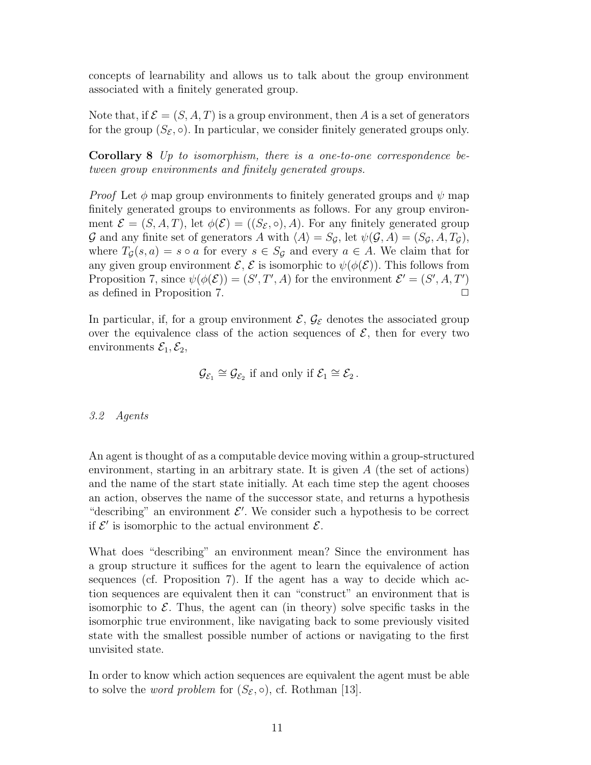concepts of learnability and allows us to talk about the group environment associated with a finitely generated group.

Note that, if  $\mathcal{E} = (S, A, T)$  is a group environment, then A is a set of generators for the group  $(S_{\mathcal{E}}, \circ)$ . In particular, we consider finitely generated groups only.

Corollary 8 Up to isomorphism, there is a one-to-one correspondence between group environments and finitely generated groups.

*Proof* Let  $\phi$  map group environments to finitely generated groups and  $\psi$  map finitely generated groups to environments as follows. For any group environment  $\mathcal{E} = (S, A, T)$ , let  $\phi(\mathcal{E}) = ((S_{\mathcal{E}}, \circ), A)$ . For any finitely generated group G and any finite set of generators A with  $\langle A \rangle = S_{\mathcal{G}}$ , let  $\psi(\mathcal{G}, A) = (S_{\mathcal{G}}, A, T_{\mathcal{G}})$ , where  $T_{\mathcal{G}}(s, a) = s \circ a$  for every  $s \in S_{\mathcal{G}}$  and every  $a \in A$ . We claim that for any given group environment  $\mathcal{E}, \mathcal{E}$  is isomorphic to  $\psi(\phi(\mathcal{E}))$ . This follows from Proposition 7, since  $\psi(\phi(\mathcal{E})) = (S', T', A)$  for the environment  $\mathcal{E}' = (S', A, T')$ as defined in Proposition 7.  $\Box$ 

In particular, if, for a group environment  $\mathcal{E}, \mathcal{G}_{\mathcal{E}}$  denotes the associated group over the equivalence class of the action sequences of  $\mathcal{E}$ , then for every two environments  $\mathcal{E}_1, \mathcal{E}_2$ ,

$$
\mathcal{G}_{\mathcal{E}_1} \cong \mathcal{G}_{\mathcal{E}_2} \text{ if and only if } \mathcal{E}_1 \cong \mathcal{E}_2 \,.
$$

## 3.2 Agents

An agent is thought of as a computable device moving within a group-structured environment, starting in an arbitrary state. It is given  $A$  (the set of actions) and the name of the start state initially. At each time step the agent chooses an action, observes the name of the successor state, and returns a hypothesis "describing" an environment  $\mathcal{E}'$ . We consider such a hypothesis to be correct if  $\mathcal{E}'$  is isomorphic to the actual environment  $\mathcal{E}$ .

What does "describing" an environment mean? Since the environment has a group structure it suffices for the agent to learn the equivalence of action sequences (cf. Proposition 7). If the agent has a way to decide which action sequences are equivalent then it can "construct" an environment that is isomorphic to  $\mathcal E$ . Thus, the agent can (in theory) solve specific tasks in the isomorphic true environment, like navigating back to some previously visited state with the smallest possible number of actions or navigating to the first unvisited state.

In order to know which action sequences are equivalent the agent must be able to solve the *word problem* for  $(S_{\mathcal{E}}, \circ)$ , cf. Rothman [13].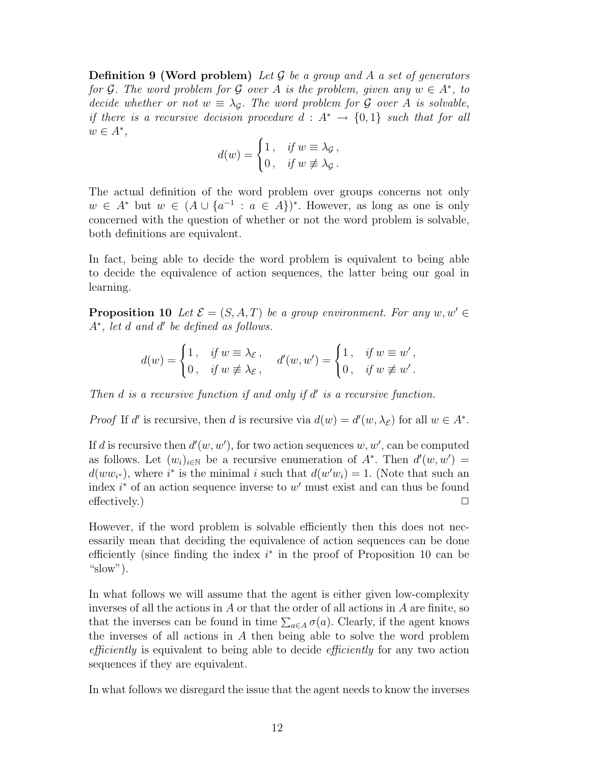**Definition 9 (Word problem)** Let  $\mathcal G$  be a group and A a set of generators for G. The word problem for G over A is the problem, given any  $w \in A^*$ , to decide whether or not  $w \equiv \lambda_{\mathcal{G}}$ . The word problem for G over A is solvable, if there is a recursive decision procedure  $d : A^* \to \{0,1\}$  such that for all  $w \in A^*,$ 

$$
d(w) = \begin{cases} 1, & \text{if } w \equiv \lambda_{\mathcal{G}}, \\ 0, & \text{if } w \not\equiv \lambda_{\mathcal{G}}. \end{cases}
$$

The actual definition of the word problem over groups concerns not only  $w \in A^*$  but  $w \in (A \cup \{a^{-1} : a \in A\})^*$ . However, as long as one is only concerned with the question of whether or not the word problem is solvable, both definitions are equivalent.

In fact, being able to decide the word problem is equivalent to being able to decide the equivalence of action sequences, the latter being our goal in learning.

**Proposition 10** Let  $\mathcal{E} = (S, A, T)$  be a group environment. For any  $w, w' \in$  $A^*$ , let d and d' be defined as follows.

$$
d(w) = \begin{cases} 1\,, & \text{if } w \equiv \lambda_{\mathcal{E}}\,, \\ 0\,, & \text{if } w \not\equiv \lambda_{\mathcal{E}}\,, \end{cases} \quad d'(w, w') = \begin{cases} 1\,, & \text{if } w \equiv w'\,, \\ 0\,, & \text{if } w \not\equiv w'\,. \end{cases}
$$

Then  $d$  is a recursive function if and only if  $d'$  is a recursive function.

*Proof* If d' is recursive, then d is recursive via  $d(w) = d'(w, \lambda_{\mathcal{E}})$  for all  $w \in A^*$ .

If d is recursive then  $d'(w, w')$ , for two action sequences  $w, w'$ , can be computed as follows. Let  $(w_i)_{i\in\mathbb{N}}$  be a recursive enumeration of  $A^*$ . Then  $d'(w, w') =$  $d(ww_{i^*})$ , where  $i^*$  is the minimal i such that  $d(w'w_i) = 1$ . (Note that such an index  $i^*$  of an action sequence inverse to  $w'$  must exist and can thus be found effectively.)  $\Box$ 

However, if the word problem is solvable efficiently then this does not necessarily mean that deciding the equivalence of action sequences can be done efficiently (since finding the index  $i^*$  in the proof of Proposition 10 can be "slow").

In what follows we will assume that the agent is either given low-complexity inverses of all the actions in A or that the order of all actions in A are finite, so that the inverses can be found in time  $\sum_{a \in A} \sigma(a)$ . Clearly, if the agent knows the inverses of all actions in A then being able to solve the word problem efficiently is equivalent to being able to decide efficiently for any two action sequences if they are equivalent.

In what follows we disregard the issue that the agent needs to know the inverses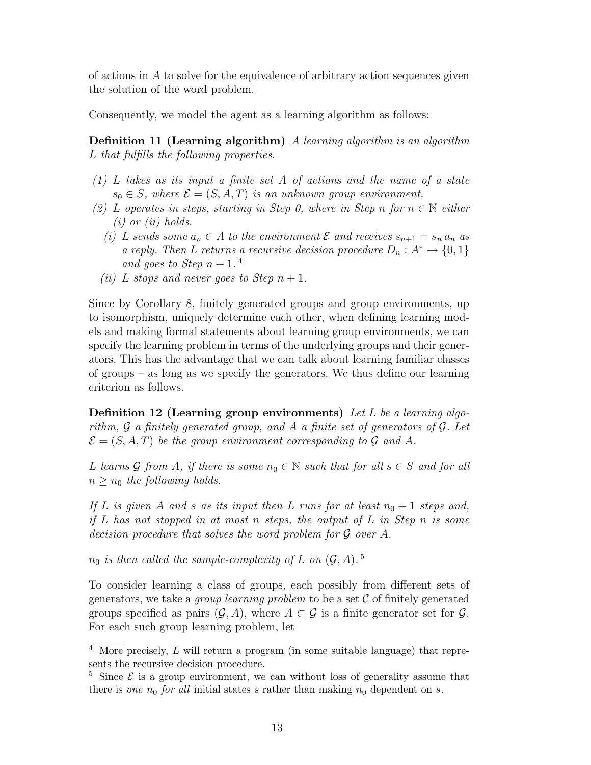of actions in A to solve for the equivalence of arbitrary action sequences given the solution of the word problem.

Consequently, we model the agent as a learning algorithm as follows:

Definition 11 (Learning algorithm) A learning algorithm is an algorithm L that fulfills the following properties.

- (1) L takes as its input a finite set A of actions and the name of a state  $s_0 \in S$ , where  $\mathcal{E} = (S, A, T)$  is an unknown group environment.
- (2) L operates in steps, starting in Step 0, where in Step n for  $n \in \mathbb{N}$  either  $(i)$  or  $(ii)$  holds.
	- (i) L sends some  $a_n \in A$  to the environment  $\mathcal E$  and receives  $s_{n+1} = s_n a_n$  as a reply. Then L returns a recursive decision procedure  $D_n: A^* \to \{0,1\}$ and goes to Step  $n+1$ .<sup>4</sup>
	- (ii) L stops and never goes to Step  $n+1$ .

Since by Corollary 8, finitely generated groups and group environments, up to isomorphism, uniquely determine each other, when defining learning models and making formal statements about learning group environments, we can specify the learning problem in terms of the underlying groups and their generators. This has the advantage that we can talk about learning familiar classes of groups – as long as we specify the generators. We thus define our learning criterion as follows.

**Definition 12 (Learning group environments)** Let L be a learning algorithm,  $\mathcal G$  a finitely generated group, and  $A$  a finite set of generators of  $\mathcal G$ . Let  $\mathcal{E} = (S, A, T)$  be the group environment corresponding to G and A.

L learns G from A, if there is some  $n_0 \in \mathbb{N}$  such that for all  $s \in S$  and for all  $n \geq n_0$  the following holds.

If L is given A and s as its input then L runs for at least  $n_0 + 1$  steps and, if  $L$  has not stopped in at most n steps, the output of  $L$  in Step n is some decision procedure that solves the word problem for G over A.

 $n_0$  is then called the sample-complexity of L on  $(\mathcal G, A)$ .<sup>5</sup>

To consider learning a class of groups, each possibly from different sets of generators, we take a *group learning problem* to be a set  $\mathcal C$  of finitely generated groups specified as pairs  $(G, A)$ , where  $A \subset \mathcal{G}$  is a finite generator set for  $\mathcal{G}$ . For each such group learning problem, let

 $\overline{4}$  More precisely, L will return a program (in some suitable language) that represents the recursive decision procedure.

<sup>&</sup>lt;sup>5</sup> Since  $\mathcal{E}$  is a group environment, we can without loss of generality assume that there is one  $n_0$  for all initial states s rather than making  $n_0$  dependent on s.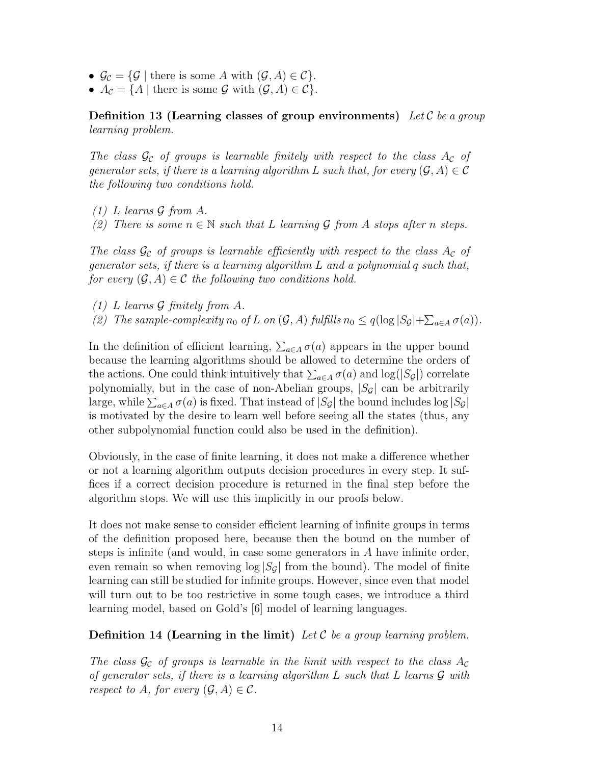- $\mathcal{G}_{\mathcal{C}} = \{ \mathcal{G} \mid \text{there is some } A \text{ with } (\mathcal{G}, A) \in \mathcal{C} \}.$
- $A_{\mathcal{C}} = \{ A \mid \text{there is some } \mathcal{G} \text{ with } (\mathcal{G}, A) \in \mathcal{C} \}.$

Definition 13 (Learning classes of group environments) Let  $\mathcal C$  be a group learning problem.

The class  $\mathcal{G}_{\mathcal{C}}$  of groups is learnable finitely with respect to the class  $A_{\mathcal{C}}$  of generator sets, if there is a learning algorithm L such that, for every  $(\mathcal{G}, A) \in \mathcal{C}$ the following two conditions hold.

- $(1)$  L learns G from A.
- (2) There is some  $n \in \mathbb{N}$  such that L learning G from A stops after n steps.

The class  $\mathcal{G}_{\mathcal{C}}$  of groups is learnable efficiently with respect to the class  $A_{\mathcal{C}}$  of generator sets, if there is a learning algorithm  $L$  and a polynomial q such that, for every  $(\mathcal{G}, A) \in \mathcal{C}$  the following two conditions hold.

(1) L learns G finitely from A. (2) The sample-complexity  $n_0$  of L on  $(G, A)$  fulfills  $n_0 \leq q(\log |S_{\mathcal{G}}| + \sum_{a \in A} \sigma(a)).$ 

In the definition of efficient learning,  $\sum_{a \in A} \sigma(a)$  appears in the upper bound because the learning algorithms should be allowed to determine the orders of the actions. One could think intuitively that  $\sum_{a \in A} \sigma(a)$  and  $\log(|S_{\mathcal{G}}|)$  correlate polynomially, but in the case of non-Abelian groups,  $|S_{\mathcal{G}}|$  can be arbitrarily large, while  $\sum_{a \in A} \sigma(a)$  is fixed. That instead of  $|S_{\mathcal{G}}|$  the bound includes  $\log |S_{\mathcal{G}}|$ is motivated by the desire to learn well before seeing all the states (thus, any

Obviously, in the case of finite learning, it does not make a difference whether or not a learning algorithm outputs decision procedures in every step. It suffices if a correct decision procedure is returned in the final step before the algorithm stops. We will use this implicitly in our proofs below.

other subpolynomial function could also be used in the definition).

It does not make sense to consider efficient learning of infinite groups in terms of the definition proposed here, because then the bound on the number of steps is infinite (and would, in case some generators in A have infinite order, even remain so when removing  $\log |S_{\mathcal{G}}|$  from the bound). The model of finite learning can still be studied for infinite groups. However, since even that model will turn out to be too restrictive in some tough cases, we introduce a third learning model, based on Gold's [6] model of learning languages.

**Definition 14 (Learning in the limit)** Let C be a group learning problem.

The class  $\mathcal{G}_{\mathcal{C}}$  of groups is learnable in the limit with respect to the class  $A_{\mathcal{C}}$ of generator sets, if there is a learning algorithm  $L$  such that  $L$  learns  $\mathcal G$  with respect to A, for every  $(\mathcal{G}, A) \in \mathcal{C}$ .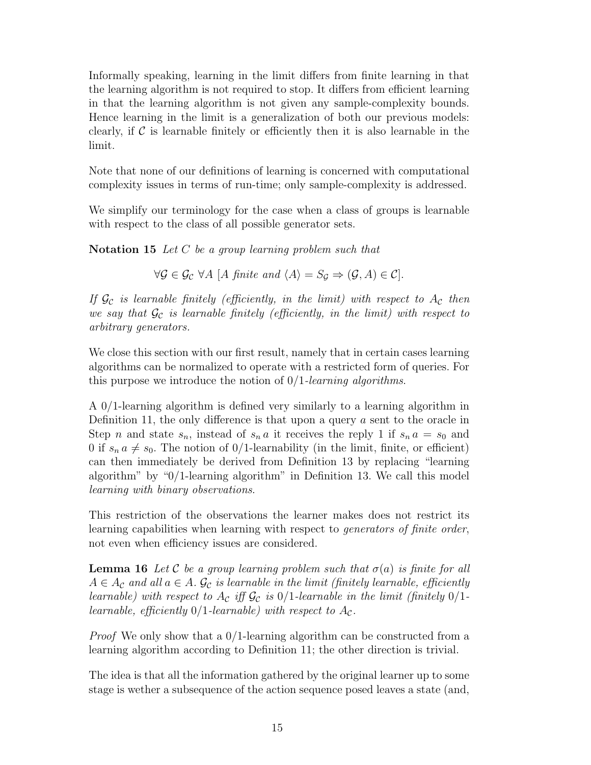Informally speaking, learning in the limit differs from finite learning in that the learning algorithm is not required to stop. It differs from efficient learning in that the learning algorithm is not given any sample-complexity bounds. Hence learning in the limit is a generalization of both our previous models: clearly, if  $\mathcal C$  is learnable finitely or efficiently then it is also learnable in the limit.

Note that none of our definitions of learning is concerned with computational complexity issues in terms of run-time; only sample-complexity is addressed.

We simplify our terminology for the case when a class of groups is learnable with respect to the class of all possible generator sets.

Notation 15 Let C be a group learning problem such that

 $\forall \mathcal{G} \in \mathcal{G}_{\mathcal{C}} \ \forall A \ [A \ \text{finite} \ \text{and} \ \langle A \rangle = S_{\mathcal{G}} \Rightarrow (\mathcal{G}, A) \in \mathcal{C}].$ 

If  $\mathcal{G}_{\mathcal{C}}$  is learnable finitely (efficiently, in the limit) with respect to  $A_{\mathcal{C}}$  then we say that  $\mathcal{G}_{\mathcal{C}}$  is learnable finitely (efficiently, in the limit) with respect to arbitrary generators.

We close this section with our first result, namely that in certain cases learning algorithms can be normalized to operate with a restricted form of queries. For this purpose we introduce the notion of  $0/1$ -learning algorithms.

A 0/1-learning algorithm is defined very similarly to a learning algorithm in Definition 11, the only difference is that upon a query  $a$  sent to the oracle in Step n and state  $s_n$ , instead of  $s_n a$  it receives the reply 1 if  $s_n a = s_0$  and 0 if  $s_n a \neq s_0$ . The notion of 0/1-learnability (in the limit, finite, or efficient) can then immediately be derived from Definition 13 by replacing "learning algorithm" by "0/1-learning algorithm" in Definition 13. We call this model learning with binary observations.

This restriction of the observations the learner makes does not restrict its learning capabilities when learning with respect to generators of finite order, not even when efficiency issues are considered.

**Lemma 16** Let C be a group learning problem such that  $\sigma(a)$  is finite for all  $A \in A_{\mathcal{C}}$  and all  $a \in A$ .  $\mathcal{G}_{\mathcal{C}}$  is learnable in the limit (finitely learnable, efficiently learnable) with respect to  $A_{\mathcal{C}}$  iff  $\mathcal{G}_{\mathcal{C}}$  is 0/1-learnable in the limit (finitely 0/1learnable, efficiently  $0/1$ -learnable) with respect to  $A_{\mathcal{C}}$ .

*Proof* We only show that a  $0/1$ -learning algorithm can be constructed from a learning algorithm according to Definition 11; the other direction is trivial.

The idea is that all the information gathered by the original learner up to some stage is wether a subsequence of the action sequence posed leaves a state (and,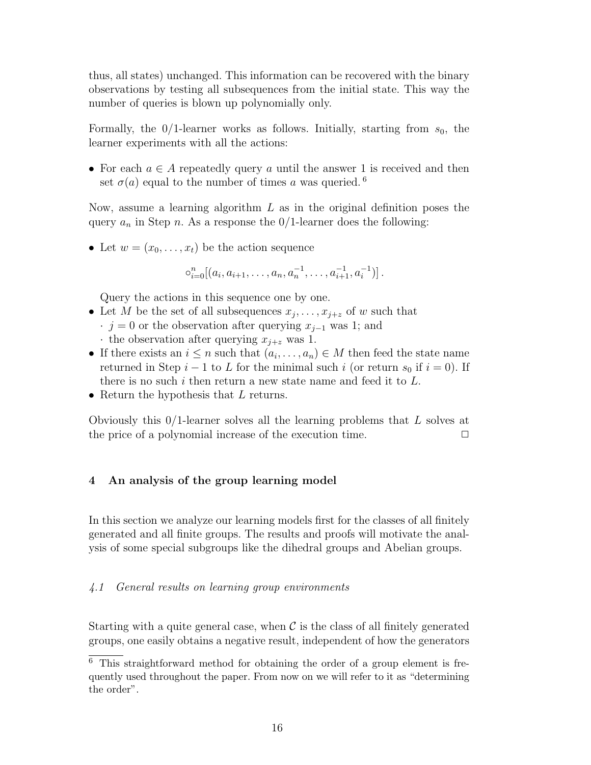thus, all states) unchanged. This information can be recovered with the binary observations by testing all subsequences from the initial state. This way the number of queries is blown up polynomially only.

Formally, the  $0/1$ -learner works as follows. Initially, starting from  $s_0$ , the learner experiments with all the actions:

• For each  $a \in A$  repeatedly query a until the answer 1 is received and then set  $\sigma(a)$  equal to the number of times a was queried. <sup>6</sup>

Now, assume a learning algorithm  $L$  as in the original definition poses the query  $a_n$  in Step n. As a response the 0/1-learner does the following:

• Let  $w = (x_0, \ldots, x_t)$  be the action sequence

 $\circ_{i=0}^{n}[(a_i, a_{i+1}, \ldots, a_n, a_n^{-1}, \ldots, a_{i+1}^{-1}, a_i^{-1})]$ .

Query the actions in this sequence one by one.

- Let M be the set of all subsequences  $x_j, \ldots, x_{j+z}$  of w such that
	- $\cdot$  j = 0 or the observation after querying  $x_{j-1}$  was 1; and
	- $\cdot$  the observation after querying  $x_{i+z}$  was 1.
- If there exists an  $i \leq n$  such that  $(a_i, \ldots, a_n) \in M$  then feed the state name returned in Step  $i-1$  to L for the minimal such i (or return  $s_0$  if  $i=0$ ). If there is no such i then return a new state name and feed it to  $L$ .
- Return the hypothesis that L returns.

Obviously this  $0/1$ -learner solves all the learning problems that L solves at the price of a polynomial increase of the execution time.  $\Box$ 

## 4 An analysis of the group learning model

In this section we analyze our learning models first for the classes of all finitely generated and all finite groups. The results and proofs will motivate the analysis of some special subgroups like the dihedral groups and Abelian groups.

## 4.1 General results on learning group environments

Starting with a quite general case, when  $\mathcal C$  is the class of all finitely generated groups, one easily obtains a negative result, independent of how the generators

 $\overline{6}$  This straightforward method for obtaining the order of a group element is frequently used throughout the paper. From now on we will refer to it as "determining the order".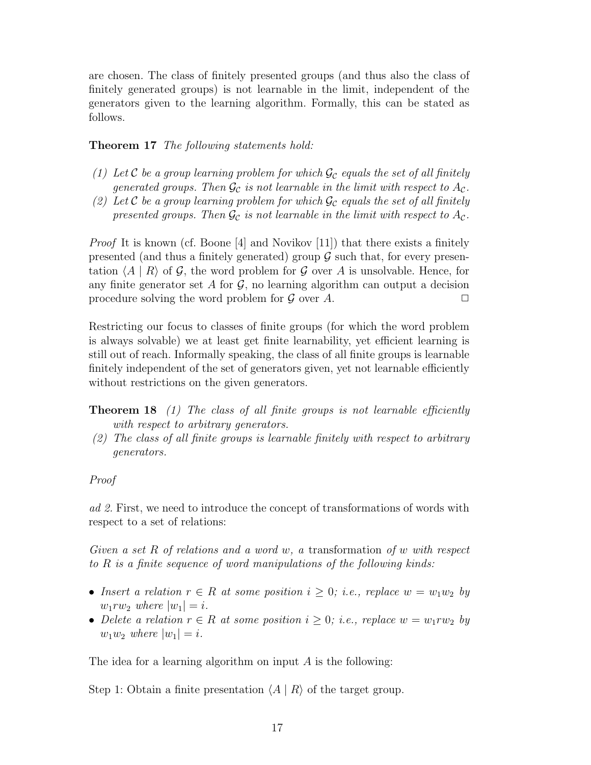are chosen. The class of finitely presented groups (and thus also the class of finitely generated groups) is not learnable in the limit, independent of the generators given to the learning algorithm. Formally, this can be stated as follows.

Theorem 17 The following statements hold:

- (1) Let C be a group learning problem for which  $\mathcal{G}_c$  equals the set of all finitely generated groups. Then  $\mathcal{G}_{\mathcal{C}}$  is not learnable in the limit with respect to  $A_{\mathcal{C}}$ .
- (2) Let C be a group learning problem for which  $\mathcal{G}_{\mathcal{C}}$  equals the set of all finitely presented groups. Then  $\mathcal{G}_{\mathcal{C}}$  is not learnable in the limit with respect to  $A_{\mathcal{C}}$ .

Proof It is known (cf. Boone [4] and Novikov [11]) that there exists a finitely presented (and thus a finitely generated) group  $\mathcal G$  such that, for every presentation  $\langle A | R \rangle$  of G, the word problem for G over A is unsolvable. Hence, for any finite generator set A for  $\mathcal G$ , no learning algorithm can output a decision procedure solving the word problem for  $\mathcal G$  over  $A$ .

Restricting our focus to classes of finite groups (for which the word problem is always solvable) we at least get finite learnability, yet efficient learning is still out of reach. Informally speaking, the class of all finite groups is learnable finitely independent of the set of generators given, yet not learnable efficiently without restrictions on the given generators.

- **Theorem 18** (1) The class of all finite groups is not learnable efficiently with respect to arbitrary generators.
- (2) The class of all finite groups is learnable finitely with respect to arbitrary generators.

## Proof

ad 2. First, we need to introduce the concept of transformations of words with respect to a set of relations:

Given a set R of relations and a word w, a transformation of w with respect to R is a finite sequence of word manipulations of the following kinds:

- Insert a relation  $r \in R$  at some position  $i \geq 0$ ; i.e., replace  $w = w_1w_2$  by  $w_1rw_2$  where  $|w_1|=i$ .
- Delete a relation  $r \in R$  at some position  $i \geq 0$ ; i.e., replace  $w = w_1 r w_2$  by  $w_1w_2$  where  $|w_1|=i$ .

The idea for a learning algorithm on input A is the following:

Step 1: Obtain a finite presentation  $\langle A | R \rangle$  of the target group.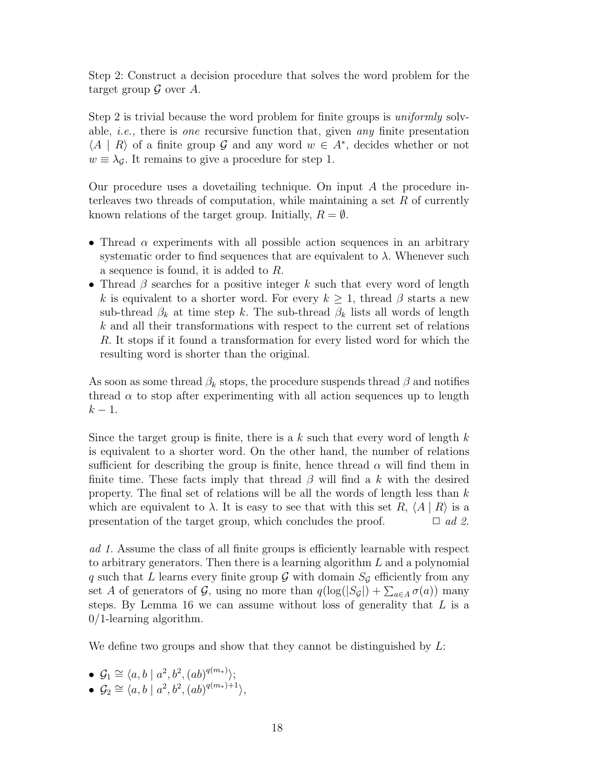Step 2: Construct a decision procedure that solves the word problem for the target group  $\mathcal G$  over  $A$ .

Step 2 is trivial because the word problem for finite groups is *uniformly* solvable, *i.e.*, there is *one* recursive function that, given *any* finite presentation  $\langle A | R \rangle$  of a finite group G and any word  $w \in A^*$ , decides whether or not  $w \equiv \lambda_{\mathcal{G}}$ . It remains to give a procedure for step 1.

Our procedure uses a dovetailing technique. On input A the procedure interleaves two threads of computation, while maintaining a set  $R$  of currently known relations of the target group. Initially,  $R = \emptyset$ .

- Thread  $\alpha$  experiments with all possible action sequences in an arbitrary systematic order to find sequences that are equivalent to  $\lambda$ . Whenever such a sequence is found, it is added to R.
- Thread  $\beta$  searches for a positive integer k such that every word of length k is equivalent to a shorter word. For every  $k \geq 1$ , thread  $\beta$  starts a new sub-thread  $\beta_k$  at time step k. The sub-thread  $\beta_k$  lists all words of length k and all their transformations with respect to the current set of relations R. It stops if it found a transformation for every listed word for which the resulting word is shorter than the original.

As soon as some thread  $\beta_k$  stops, the procedure suspends thread  $\beta$  and notifies thread  $\alpha$  to stop after experimenting with all action sequences up to length  $k-1$ .

Since the target group is finite, there is a  $k$  such that every word of length  $k$ is equivalent to a shorter word. On the other hand, the number of relations sufficient for describing the group is finite, hence thread  $\alpha$  will find them in finite time. These facts imply that thread  $\beta$  will find a k with the desired property. The final set of relations will be all the words of length less than  $k$ which are equivalent to  $\lambda$ . It is easy to see that with this set R,  $\langle A | R \rangle$  is a presentation of the target group, which concludes the proof.  $\Box$  ad 2.

ad 1. Assume the class of all finite groups is efficiently learnable with respect to arbitrary generators. Then there is a learning algorithm L and a polynomial q such that L learns every finite group  $\mathcal G$  with domain  $S_{\mathcal G}$  efficiently from any set A of generators of G, using no more than  $q(\log(|S_{\mathcal{G}}|) + \sum_{a \in A} \sigma(a))$  many steps. By Lemma 16 we can assume without loss of generality that  $L$  is a 0/1-learning algorithm.

We define two groups and show that they cannot be distinguished by  $L$ :

- $\mathcal{G}_1 \cong \langle a, b \mid a^2, b^2, (ab)^{q(m_*)} \rangle;$
- $\mathcal{G}_2 \cong \langle a, b \mid a^2, b^2, (ab)^{q(m_*)+1} \rangle,$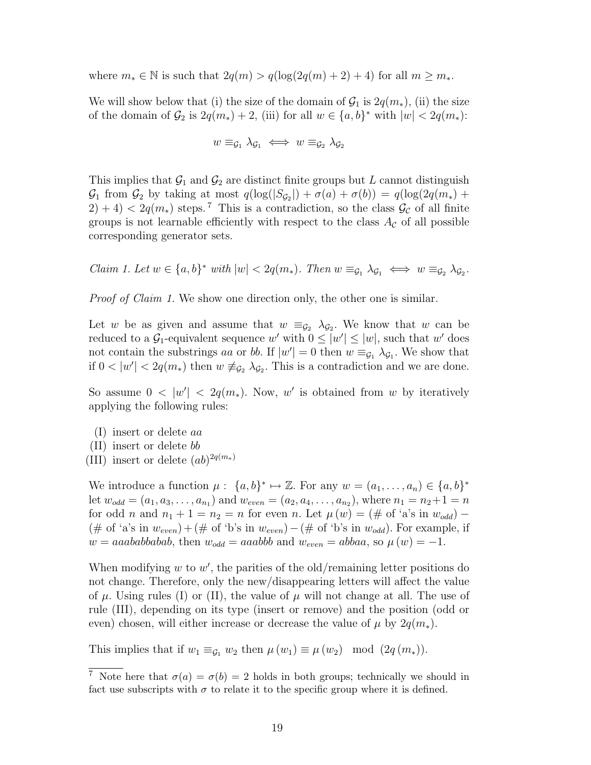where  $m_* \in \mathbb{N}$  is such that  $2q(m) > q(\log(2q(m) + 2) + 4)$  for all  $m \geq m_*$ .

We will show below that (i) the size of the domain of  $\mathcal{G}_1$  is  $2q(m_*)$ , (ii) the size of the domain of  $\mathcal{G}_2$  is  $2q(m_*)+2$ , (iii) for all  $w \in \{a,b\}^*$  with  $|w| < 2q(m_*)$ :

$$
w \equiv_{\mathcal{G}_1} \lambda_{\mathcal{G}_1} \iff w \equiv_{\mathcal{G}_2} \lambda_{\mathcal{G}_2}
$$

This implies that  $\mathcal{G}_1$  and  $\mathcal{G}_2$  are distinct finite groups but L cannot distinguish  $\mathcal{G}_1$  from  $\mathcal{G}_2$  by taking at most  $q(\log(|S_{\mathcal{G}_2}|) + \sigma(a) + \sigma(b)) = q(\log(2q(m_*) +$  $2(2) + 4 < 2q(m_*)$  steps.<sup>7</sup> This is a contradiction, so the class  $\mathcal{G}_{\mathcal{C}}$  of all finite groups is not learnable efficiently with respect to the class  $A_{\mathcal{C}}$  of all possible corresponding generator sets.

Claim 1. Let  $w \in \{a, b\}^*$  with  $|w| < 2q(m_*)$ . Then  $w \equiv_{\mathcal{G}_1} \lambda_{\mathcal{G}_1} \iff w \equiv_{\mathcal{G}_2} \lambda_{\mathcal{G}_2}$ .

Proof of Claim 1. We show one direction only, the other one is similar.

Let w be as given and assume that  $w \equiv_{\mathcal{G}_2} \lambda_{\mathcal{G}_2}$ . We know that w can be reduced to a  $\mathcal{G}_1$ -equivalent sequence w' with  $0 \leq |w'| \leq |w|$ , such that w' does not contain the substrings aa or bb. If  $|w'| = 0$  then  $w \equiv_{\mathcal{G}_1} \lambda_{\mathcal{G}_1}$ . We show that if  $0 < |w'| < 2q(m_*)$  then  $w \neq_{\mathcal{G}_2} \lambda_{\mathcal{G}_2}$ . This is a contradiction and we are done.

So assume  $0 < |w'| < 2q(m_*)$ . Now, w' is obtained from w by iteratively applying the following rules:

- (I) insert or delete aa
- (II) insert or delete bb
- (III) insert or delete  $(ab)^{2q(m_*)}$

We introduce a function  $\mu: \{a, b\}^* \mapsto \mathbb{Z}$ . For any  $w = (a_1, \ldots, a_n) \in \{a, b\}^*$ let  $w_{odd} = (a_1, a_3, \ldots, a_{n_1})$  and  $w_{even} = (a_2, a_4, \ldots, a_{n_2})$ , where  $n_1 = n_2 + 1 = n$ for odd n and  $n_1 + 1 = n_2 = n$  for even n. Let  $\mu(w) = (\# \text{ of 'a's in } w_{odd})$  – (# of 'a's in  $w_{even}$ ) + (# of 'b's in  $w_{even}$ ) – (# of 'b's in  $w_{odd}$ ). For example, if  $w = aaababbabab$ , then  $w_{odd} = aaabbb$  and  $w_{even} = abbaa$ , so  $\mu(w) = -1$ .

When modifying  $w$  to  $w'$ , the parities of the old/remaining letter positions do not change. Therefore, only the new/disappearing letters will affect the value of  $\mu$ . Using rules (I) or (II), the value of  $\mu$  will not change at all. The use of rule (III), depending on its type (insert or remove) and the position (odd or even) chosen, will either increase or decrease the value of  $\mu$  by  $2q(m_*)$ .

This implies that if  $w_1 \equiv_{\mathcal{G}_1} w_2$  then  $\mu(w_1) \equiv \mu(w_2) \mod (2q(m_*)).$ 

<sup>&</sup>lt;sup>7</sup> Note here that  $\sigma(a) = \sigma(b) = 2$  holds in both groups; technically we should in fact use subscripts with  $\sigma$  to relate it to the specific group where it is defined.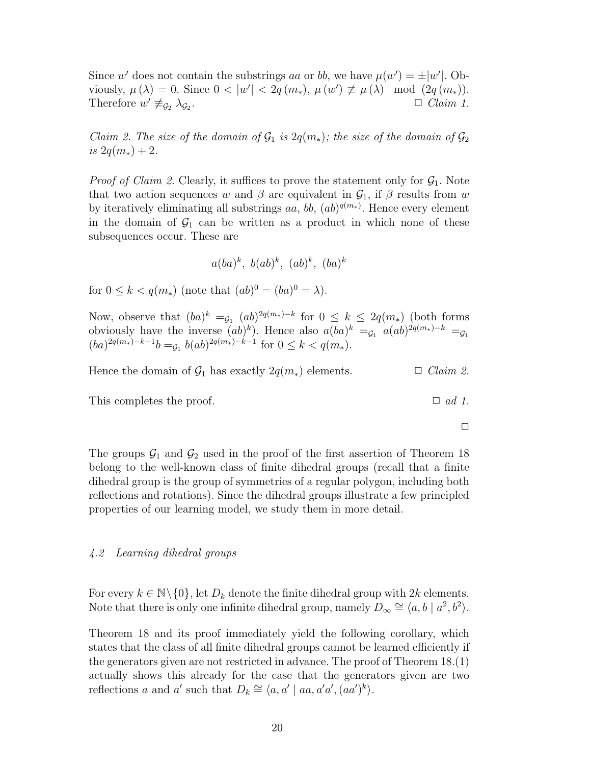Since w' does not contain the substrings aa or bb, we have  $\mu(w') = \pm |w'|$ . Obviously,  $\mu(\lambda) = 0$ . Since  $0 < |w'| < 2q(m_*)$ ,  $\mu(w') \not\equiv \mu(\lambda) \mod (2q(m_*))$ . Therefore  $w' \not\equiv_{\mathcal{G}_2} \lambda_{\mathcal{G}_2}$  $\Box$  *Claim 1.* 

Claim 2. The size of the domain of  $\mathcal{G}_1$  is  $2q(m_*)$ ; the size of the domain of  $\mathcal{G}_2$ is  $2q(m_*)+2$ .

*Proof of Claim 2.* Clearly, it suffices to prove the statement only for  $G_1$ . Note that two action sequences w and  $\beta$  are equivalent in  $\mathcal{G}_1$ , if  $\beta$  results from w by iteratively eliminating all substrings  $aa, bb, (ab)^{q(m_*)}$ . Hence every element in the domain of  $\mathcal{G}_1$  can be written as a product in which none of these subsequences occur. These are

$$
a(ba)^k, b(ab)^k, (ab)^k, (ba)^k
$$

for  $0 \leq k < q(m_*)$  (note that  $(ab)^0 = (ba)^0 = \lambda$ ).

Now, observe that  $(ba)^k =_{\mathcal{G}_1} (ab)^{2q(m_*)-k}$  for  $0 \leq k \leq 2q(m_*)$  (both forms obviously have the inverse  $(ab)^k$ . Hence also  $a(ba)^k = c_1$ ,  $a(ab)^{2q(m_*)-k} = c_1$  $(ba)^{2q(m_*)-k-1}b =_{\mathcal{G}_1} b(ab)^{2q(m_*)-k-1}$  for  $0 \leq k < q(m_*)$ .

Hence the domain of  $\mathcal{G}_1$  has exactly  $2q(m_*)$  elements.  $\Box$  Claim 2.

This completes the proof.  $\Box$  ad 1.

 $\Box$ 

The groups  $\mathcal{G}_1$  and  $\mathcal{G}_2$  used in the proof of the first assertion of Theorem 18 belong to the well-known class of finite dihedral groups (recall that a finite dihedral group is the group of symmetries of a regular polygon, including both reflections and rotations). Since the dihedral groups illustrate a few principled properties of our learning model, we study them in more detail.

#### 4.2 Learning dihedral groups

For every  $k \in \mathbb{N} \setminus \{0\}$ , let  $D_k$  denote the finite dihedral group with  $2k$  elements. Note that there is only one infinite dihedral group, namely  $D_{\infty} \cong \langle a, b \mid a^2, b^2 \rangle$ .

Theorem 18 and its proof immediately yield the following corollary, which states that the class of all finite dihedral groups cannot be learned efficiently if the generators given are not restricted in advance. The proof of Theorem 18.(1) actually shows this already for the case that the generators given are two reflections a and a' such that  $D_k \cong \langle a, a' \mid aa, a'a', (aa')^k \rangle$ .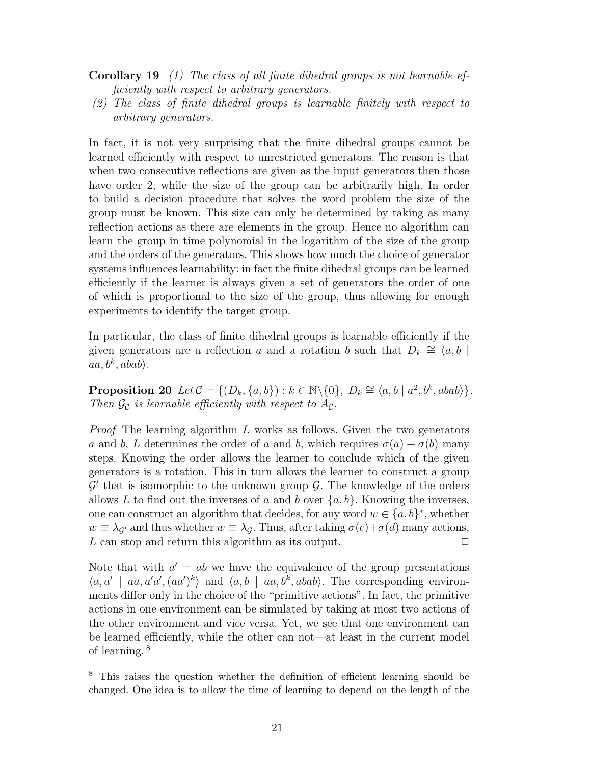- Corollary 19 (1) The class of all finite dihedral groups is not learnable efficiently with respect to arbitrary generators.
- (2) The class of finite dihedral groups is learnable finitely with respect to arbitrary generators.

In fact, it is not very surprising that the finite dihedral groups cannot be learned efficiently with respect to unrestricted generators. The reason is that when two consecutive reflections are given as the input generators then those have order 2, while the size of the group can be arbitrarily high. In order to build a decision procedure that solves the word problem the size of the group must be known. This size can only be determined by taking as many reflection actions as there are elements in the group. Hence no algorithm can learn the group in time polynomial in the logarithm of the size of the group and the orders of the generators. This shows how much the choice of generator systems influences learnability: in fact the finite dihedral groups can be learned efficiently if the learner is always given a set of generators the order of one of which is proportional to the size of the group, thus allowing for enough experiments to identify the target group.

In particular, the class of finite dihedral groups is learnable efficiently if the given generators are a reflection a and a rotation b such that  $D_k \cong \langle a, b \rangle$  $aa,b^k,abab\rangle.$ 

Proposition 20  $Let \mathcal{C} = \{ (D_k, \{a, b\}) : k \in \mathbb{N} \setminus \{0\}, D_k \cong \langle a, b | a^2, b^k, abab \rangle \}.$ Then  $\mathcal{G}_{\mathcal{C}}$  is learnable efficiently with respect to  $A_{\mathcal{C}}$ .

*Proof* The learning algorithm  $L$  works as follows. Given the two generators a and b, L determines the order of a and b, which requires  $\sigma(a) + \sigma(b)$  many steps. Knowing the order allows the learner to conclude which of the given generators is a rotation. This in turn allows the learner to construct a group  $\mathcal{G}'$  that is isomorphic to the unknown group  $\mathcal{G}$ . The knowledge of the orders allows L to find out the inverses of a and b over  $\{a, b\}$ . Knowing the inverses, one can construct an algorithm that decides, for any word  $w \in \{a, b\}^*$ , whether  $w \equiv \lambda_{\mathcal{G}}$  and thus whether  $w \equiv \lambda_{\mathcal{G}}$ . Thus, after taking  $\sigma(c)+\sigma(d)$  many actions, L can stop and return this algorithm as its output.  $\Box$ 

Note that with  $a' = ab$  we have the equivalence of the group presentations  $\langle a, a' \mid aa, a'a', (aa')^k \rangle$  and  $\langle a, b \mid aa, b^k, abab \rangle$ . The corresponding environments differ only in the choice of the "primitive actions". In fact, the primitive actions in one environment can be simulated by taking at most two actions of the other environment and vice versa. Yet, we see that one environment can be learned efficiently, while the other can not—at least in the current model of learning. <sup>8</sup>

 $\overline{\text{8}$  This raises the question whether the definition of efficient learning should be changed. One idea is to allow the time of learning to depend on the length of the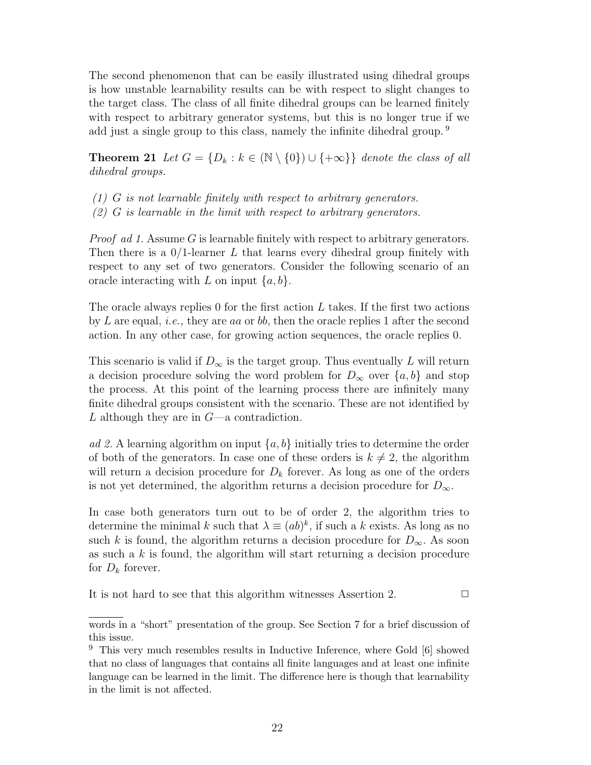The second phenomenon that can be easily illustrated using dihedral groups is how unstable learnability results can be with respect to slight changes to the target class. The class of all finite dihedral groups can be learned finitely with respect to arbitrary generator systems, but this is no longer true if we add just a single group to this class, namely the infinite dihedral group.<sup>9</sup>

**Theorem 21** Let  $G = \{D_k : k \in (\mathbb{N} \setminus \{0\}) \cup \{+\infty\}\}\$  denote the class of all dihedral groups.

- $(1)$  G is not learnable finitely with respect to arbitrary generators.
- $(2)$  G is learnable in the limit with respect to arbitrary generators.

Proof ad 1. Assume G is learnable finitely with respect to arbitrary generators. Then there is a  $0/1$ -learner L that learns every dihedral group finitely with respect to any set of two generators. Consider the following scenario of an oracle interacting with L on input  $\{a, b\}$ .

The oracle always replies 0 for the first action  $L$  takes. If the first two actions by L are equal, *i.e.*, they are aa or bb, then the oracle replies 1 after the second action. In any other case, for growing action sequences, the oracle replies 0.

This scenario is valid if  $D_{\infty}$  is the target group. Thus eventually L will return a decision procedure solving the word problem for  $D_{\infty}$  over  $\{a, b\}$  and stop the process. At this point of the learning process there are infinitely many finite dihedral groups consistent with the scenario. These are not identified by L although they are in  $G$ —a contradiction.

ad 2. A learning algorithm on input  $\{a, b\}$  initially tries to determine the order of both of the generators. In case one of these orders is  $k \neq 2$ , the algorithm will return a decision procedure for  $D_k$  forever. As long as one of the orders is not yet determined, the algorithm returns a decision procedure for  $D_{\infty}$ .

In case both generators turn out to be of order 2, the algorithm tries to determine the minimal k such that  $\lambda \equiv (ab)^k$ , if such a k exists. As long as no such k is found, the algorithm returns a decision procedure for  $D_{\infty}$ . As soon as such a  $k$  is found, the algorithm will start returning a decision procedure for  $D_k$  forever.

It is not hard to see that this algorithm witnesses Assertion 2.  $\Box$ 

words in a "short" presentation of the group. See Section 7 for a brief discussion of this issue.

<sup>9</sup> This very much resembles results in Inductive Inference, where Gold [6] showed that no class of languages that contains all finite languages and at least one infinite language can be learned in the limit. The difference here is though that learnability in the limit is not affected.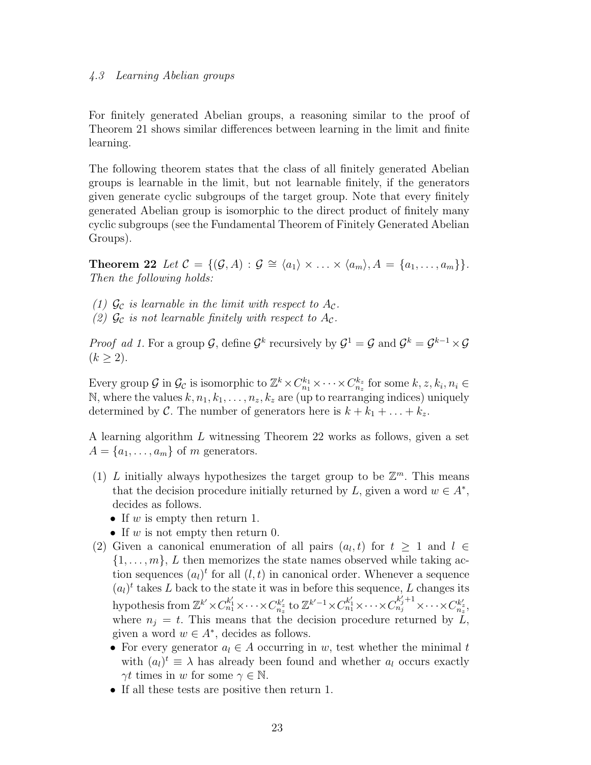#### 4.3 Learning Abelian groups

For finitely generated Abelian groups, a reasoning similar to the proof of Theorem 21 shows similar differences between learning in the limit and finite learning.

The following theorem states that the class of all finitely generated Abelian groups is learnable in the limit, but not learnable finitely, if the generators given generate cyclic subgroups of the target group. Note that every finitely generated Abelian group is isomorphic to the direct product of finitely many cyclic subgroups (see the Fundamental Theorem of Finitely Generated Abelian Groups).

Theorem 22 Let  $C = \{(\mathcal{G}, A) : \mathcal{G} \cong \langle a_1 \rangle \times \ldots \times \langle a_m \rangle, A = \{a_1, \ldots, a_m\}\}.$ Then the following holds:

(1)  $\mathcal{G}_{\mathcal{C}}$  is learnable in the limit with respect to  $A_{\mathcal{C}}$ .

(2)  $\mathcal{G}_{\mathcal{C}}$  is not learnable finitely with respect to  $A_{\mathcal{C}}$ .

*Proof ad 1.* For a group G, define  $\mathcal{G}^k$  recursively by  $\mathcal{G}^1 = \mathcal{G}$  and  $\mathcal{G}^k = \mathcal{G}^{k-1} \times \mathcal{G}$  $(k > 2)$ .

Every group  $G$  in  $\mathcal{G}_{\mathcal{C}}$  is isomorphic to  $\mathbb{Z}^k \times C_{n_1}^{k_1} \times \cdots \times C_{n_z}^{k_z}$  for some  $k, z, k_i, n_i \in$ N, where the values  $k, n_1, k_1, \ldots, n_z, k_z$  are (up to rearranging indices) uniquely determined by C. The number of generators here is  $k + k_1 + \ldots + k_z$ .

A learning algorithm L witnessing Theorem 22 works as follows, given a set  $A = \{a_1, \ldots, a_m\}$  of m generators.

- (1) L initially always hypothesizes the target group to be  $\mathbb{Z}^m$ . This means that the decision procedure initially returned by L, given a word  $w \in A^*$ , decides as follows.
	- If w is empty then return 1.
	- If w is not empty then return 0.
- (2) Given a canonical enumeration of all pairs  $(a_l, t)$  for  $t \geq 1$  and  $l \in$  $\{1,\ldots,m\}$ , L then memorizes the state names observed while taking action sequences  $(a_l)^t$  for all  $(l, t)$  in canonical order. Whenever a sequence  $(a_l)^t$  takes L back to the state it was in before this sequence, L changes its hypothesis from  $\mathbb{Z}^{k'} \times C_{n_1}^{k'_1} \times \cdots \times C_{n_z}^{k'_z}$  to  $\mathbb{Z}^{k'-1} \times C_{n_1}^{k'_1} \times \cdots \times C_{n_j}^{k'_j+1} \times \cdots \times C_{n_z}^{k'_z}$ where  $n_i = t$ . This means that the decision procedure returned by  $\tilde{L}$ , given a word  $w \in A^*$ , decides as follows.
	- For every generator  $a_l \in A$  occurring in w, test whether the minimal t with  $(a_l)^t \equiv \lambda$  has already been found and whether  $a_l$  occurs exactly  $\gamma t$  times in w for some  $\gamma \in \mathbb{N}$ .
	- If all these tests are positive then return 1.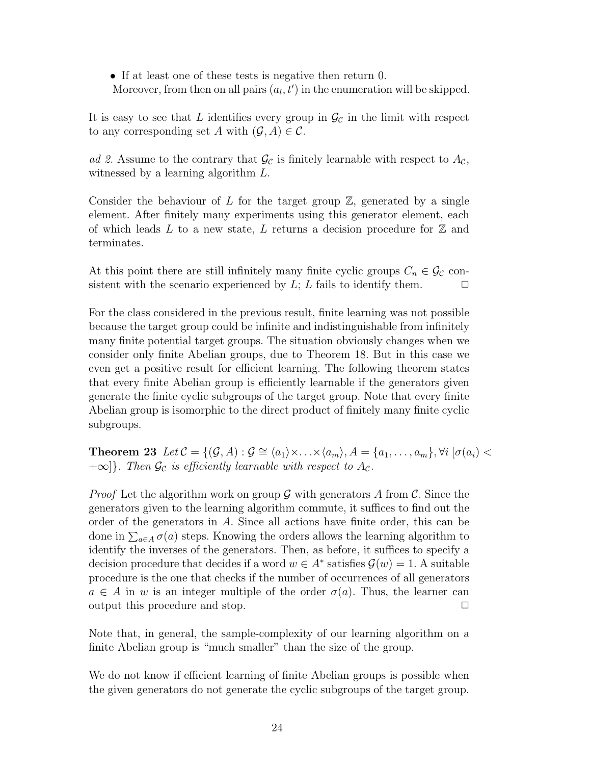• If at least one of these tests is negative then return 0.

Moreover, from then on all pairs  $(a_l, t')$  in the enumeration will be skipped.

It is easy to see that L identifies every group in  $\mathcal{G}_c$  in the limit with respect to any corresponding set A with  $(\mathcal{G}, A) \in \mathcal{C}$ .

ad 2. Assume to the contrary that  $\mathcal{G}_{\mathcal{C}}$  is finitely learnable with respect to  $A_{\mathcal{C}}$ , witnessed by a learning algorithm L.

Consider the behaviour of L for the target group  $\mathbb{Z}$ , generated by a single element. After finitely many experiments using this generator element, each of which leads L to a new state, L returns a decision procedure for  $\mathbb Z$  and terminates.

At this point there are still infinitely many finite cyclic groups  $C_n \in \mathcal{G}_{\mathcal{C}}$  consistent with the scenario experienced by  $L$ ; L fails to identify them.  $\Box$ 

For the class considered in the previous result, finite learning was not possible because the target group could be infinite and indistinguishable from infinitely many finite potential target groups. The situation obviously changes when we consider only finite Abelian groups, due to Theorem 18. But in this case we even get a positive result for efficient learning. The following theorem states that every finite Abelian group is efficiently learnable if the generators given generate the finite cyclic subgroups of the target group. Note that every finite Abelian group is isomorphic to the direct product of finitely many finite cyclic subgroups.

**Theorem 23** Let  $C = \{(\mathcal{G}, A) : \mathcal{G} \cong \langle a_1 \rangle \times \ldots \times \langle a_m \rangle, A = \{a_1, \ldots, a_m\}, \forall i \; | \sigma(a_i) <$  $+\infty$ }. Then  $\mathcal{G}_{\mathcal{C}}$  is efficiently learnable with respect to  $A_{\mathcal{C}}$ .

*Proof* Let the algorithm work on group  $\mathcal G$  with generators A from  $\mathcal C$ . Since the generators given to the learning algorithm commute, it suffices to find out the order of the generators in A. Since all actions have finite order, this can be done in  $\sum_{a \in A} \sigma(a)$  steps. Knowing the orders allows the learning algorithm to identify the inverses of the generators. Then, as before, it suffices to specify a decision procedure that decides if a word  $w \in A^*$  satisfies  $\mathcal{G}(w) = 1$ . A suitable procedure is the one that checks if the number of occurrences of all generators  $a \in A$  in w is an integer multiple of the order  $\sigma(a)$ . Thus, the learner can output this procedure and stop.  $\Box$ 

Note that, in general, the sample-complexity of our learning algorithm on a finite Abelian group is "much smaller" than the size of the group.

We do not know if efficient learning of finite Abelian groups is possible when the given generators do not generate the cyclic subgroups of the target group.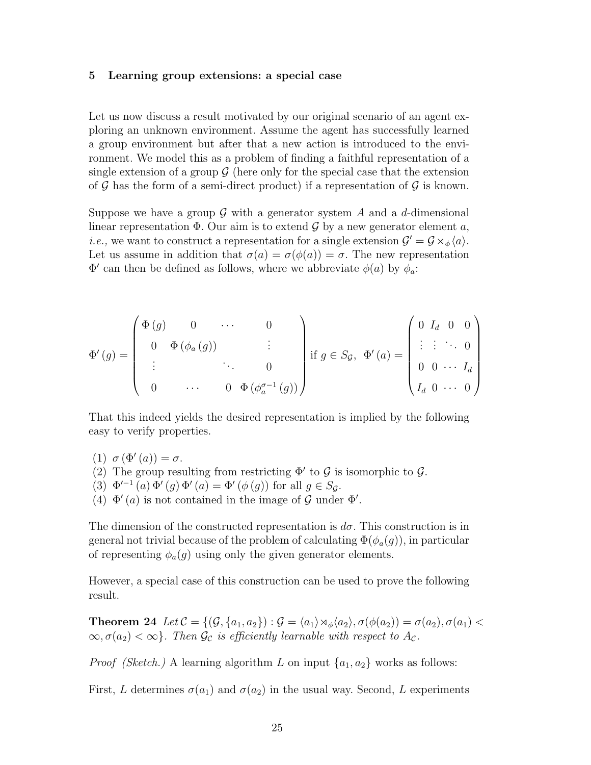#### 5 Learning group extensions: a special case

Let us now discuss a result motivated by our original scenario of an agent exploring an unknown environment. Assume the agent has successfully learned a group environment but after that a new action is introduced to the environment. We model this as a problem of finding a faithful representation of a single extension of a group  $\mathcal G$  (here only for the special case that the extension of  $\mathcal G$  has the form of a semi-direct product) if a representation of  $\mathcal G$  is known.

Suppose we have a group  $\mathcal G$  with a generator system  $A$  and a d-dimensional linear representation  $\Phi$ . Our aim is to extend  $\mathcal G$  by a new generator element  $a$ , *i.e.*, we want to construct a representation for a single extension  $\mathcal{G}' = \mathcal{G} \rtimes_{\phi} \langle a \rangle$ . Let us assume in addition that  $\sigma(a) = \sigma(\phi(a)) = \sigma$ . The new representation  $\Phi'$  can then be defined as follows, where we abbreviate  $\phi(a)$  by  $\phi_a$ :

$$
\Phi'(g) = \begin{pmatrix}\n\Phi(g) & 0 & \cdots & 0 \\
0 & \Phi(\phi_a(g)) & & \vdots \\
\vdots & & \ddots & 0 \\
0 & \cdots & 0 & \Phi(\phi_a^{q-1}(g))\n\end{pmatrix} \text{if } g \in S_g, \ \Phi'(a) = \begin{pmatrix}\n0 & I_d & 0 & 0 \\
\vdots & \vdots & \ddots & 0 \\
0 & 0 & \cdots & I_d \\
I_d & 0 & \cdots & 0\n\end{pmatrix}
$$

That this indeed yields the desired representation is implied by the following easy to verify properties.

- (1)  $\sigma (\Phi'(a)) = \sigma$ . (2) The group resulting from restricting  $\Phi'$  to  $\mathcal G$  is isomorphic to  $\mathcal G$ . (3)  $\Phi'^{-1}(a) \Phi'(g) \Phi'(a) = \Phi'(\phi(g))$  for all  $g \in S_{\mathcal{G}}$ .
- (4)  $\Phi'(a)$  is not contained in the image of G under  $\Phi'$ .

The dimension of the constructed representation is  $d\sigma$ . This construction is in general not trivial because of the problem of calculating  $\Phi(\phi_a(g))$ , in particular of representing  $\phi_a(g)$  using only the given generator elements.

However, a special case of this construction can be used to prove the following result.

**Theorem 24** Let  $C = \{(\mathcal{G}, \{a_1, a_2\}) : \mathcal{G} = \langle a_1 \rangle \rtimes_{\phi} \langle a_2 \rangle, \sigma(\phi(a_2)) = \sigma(a_2), \sigma(a_1)$  $\infty, \sigma(a_2) < \infty$ . Then  $\mathcal{G}_{\mathcal{C}}$  is efficiently learnable with respect to  $A_{\mathcal{C}}$ .

*Proof (Sketch.)* A learning algorithm L on input  $\{a_1, a_2\}$  works as follows:

First, L determines  $\sigma(a_1)$  and  $\sigma(a_2)$  in the usual way. Second, L experiments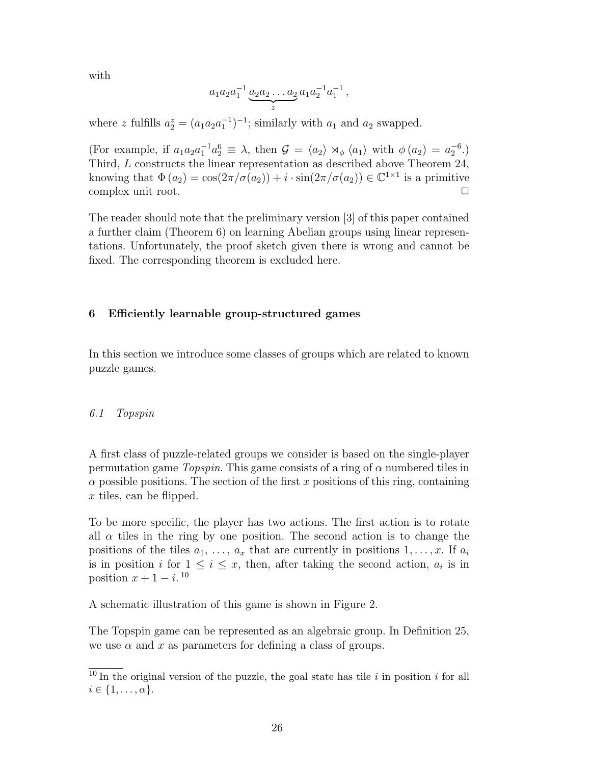with

$$
a_1 a_2 a_1^{-1} \underbrace{a_2 a_2 \dots a_2}_{z} a_1 a_2^{-1} a_1^{-1},
$$

where z fulfills  $a_2^z = (a_1 a_2 a_1^{-1})^{-1}$ ; similarly with  $a_1$  and  $a_2$  swapped.

(For example, if  $a_1a_2a_1^{-1}a_2^6 \equiv \lambda$ , then  $\mathcal{G} = \langle a_2 \rangle \rtimes_{\phi} \langle a_1 \rangle$  with  $\phi(a_2) = a_2^{-6}$ .) Third, L constructs the linear representation as described above Theorem 24, knowing that  $\Phi(a_2) = \cos(2\pi/\sigma(a_2)) + i \cdot \sin(2\pi/\sigma(a_2)) \in \mathbb{C}^{1 \times 1}$  is a primitive complex unit root.

The reader should note that the preliminary version [3] of this paper contained a further claim (Theorem 6) on learning Abelian groups using linear representations. Unfortunately, the proof sketch given there is wrong and cannot be fixed. The corresponding theorem is excluded here.

## 6 Efficiently learnable group-structured games

In this section we introduce some classes of groups which are related to known puzzle games.

#### 6.1 Topspin

A first class of puzzle-related groups we consider is based on the single-player permutation game  $T_{opspin}$ . This game consists of a ring of  $\alpha$  numbered tiles in  $\alpha$  possible positions. The section of the first x positions of this ring, containing  $x$  tiles, can be flipped.

To be more specific, the player has two actions. The first action is to rotate all  $\alpha$  tiles in the ring by one position. The second action is to change the positions of the tiles  $a_1, \ldots, a_x$  that are currently in positions  $1, \ldots, x$ . If  $a_i$ is in position i for  $1 \leq i \leq x$ , then, after taking the second action,  $a_i$  is in position  $x + 1 - i$ .<sup>10</sup>

A schematic illustration of this game is shown in Figure 2.

The Topspin game can be represented as an algebraic group. In Definition 25, we use  $\alpha$  and x as parameters for defining a class of groups.

 $\frac{10}{10}$  In the original version of the puzzle, the goal state has tile i in position i for all  $i \in \{1, \ldots, \alpha\}.$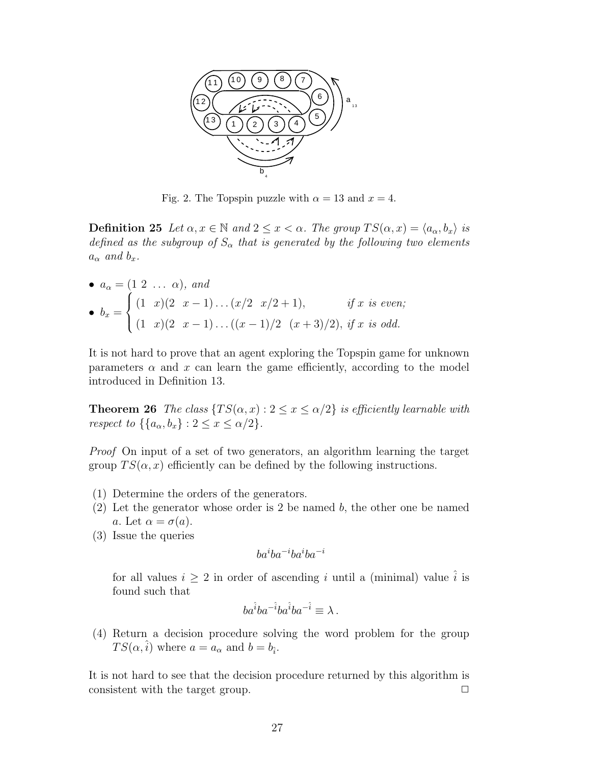

Fig. 2. The Topspin puzzle with  $\alpha = 13$  and  $x = 4$ .

**Definition 25** Let  $\alpha, x \in \mathbb{N}$  and  $2 \leq x < \alpha$ . The group  $TS(\alpha, x) = \langle a_{\alpha}, b_{x} \rangle$  is defined as the subgroup of  $S_{\alpha}$  that is generated by the following two elements  $a_{\alpha}$  and  $b_x$ .

• 
$$
a_{\alpha} = (1 \ 2 \ \dots \ \alpha)
$$
, and  
\n•  $b_x = \begin{cases} (1 \ x)(2 \ x - 1) \dots (x/2 \ x/2 + 1), & \text{if } x \text{ is even;} \\ (1 \ x)(2 \ x - 1) \dots ((x - 1)/2 \ (x + 3)/2), & \text{if } x \text{ is odd.} \end{cases}$ 

It is not hard to prove that an agent exploring the Topspin game for unknown parameters  $\alpha$  and x can learn the game efficiently, according to the model introduced in Definition 13.

**Theorem 26** The class  $\{TS(\alpha, x): 2 \leq x \leq \alpha/2\}$  is efficiently learnable with respect to  $\{\{a_{\alpha}, b_x\} : 2 \leq x \leq \alpha/2\}.$ 

Proof On input of a set of two generators, an algorithm learning the target group  $TS(\alpha, x)$  efficiently can be defined by the following instructions.

- (1) Determine the orders of the generators.
- (2) Let the generator whose order is 2 be named  $b$ , the other one be named a. Let  $\alpha = \sigma(a)$ .
- (3) Issue the queries

$$
ba^iba^{-i}ba^{\vphantom{i}}ba^{-i}
$$

for all values  $i \geq 2$  in order of ascending i until a (minimal) value  $\hat{i}$  is found such that

$$
ba^{\hat{i}}ba^{-\hat{i}}ba^{\hat{i}}ba^{-\hat{i}} \equiv \lambda .
$$

(4) Return a decision procedure solving the word problem for the group  $TS(\alpha, \hat{i})$  where  $a = a_{\alpha}$  and  $b = b_{\hat{i}}$ .

It is not hard to see that the decision procedure returned by this algorithm is consistent with the target group.  $\Box$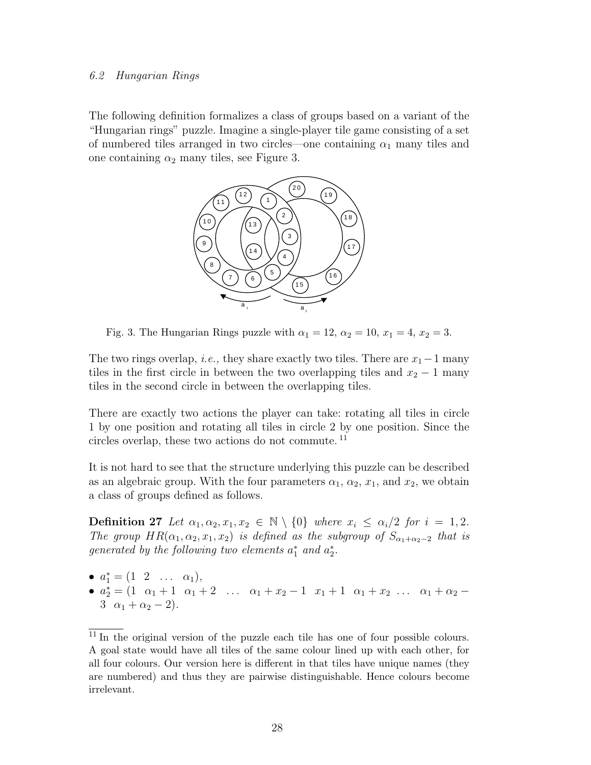#### 6.2 Hungarian Rings

The following definition formalizes a class of groups based on a variant of the "Hungarian rings" puzzle. Imagine a single-player tile game consisting of a set of numbered tiles arranged in two circles—one containing  $\alpha_1$  many tiles and one containing  $\alpha_2$  many tiles, see Figure 3.



Fig. 3. The Hungarian Rings puzzle with  $\alpha_1 = 12$ ,  $\alpha_2 = 10$ ,  $x_1 = 4$ ,  $x_2 = 3$ .

The two rings overlap, *i.e.*, they share exactly two tiles. There are  $x_1-1$  many tiles in the first circle in between the two overlapping tiles and  $x_2 - 1$  many tiles in the second circle in between the overlapping tiles.

There are exactly two actions the player can take: rotating all tiles in circle 1 by one position and rotating all tiles in circle 2 by one position. Since the circles overlap, these two actions do not commute. <sup>11</sup>

It is not hard to see that the structure underlying this puzzle can be described as an algebraic group. With the four parameters  $\alpha_1, \alpha_2, x_1$ , and  $x_2$ , we obtain a class of groups defined as follows.

**Definition 27** Let  $\alpha_1, \alpha_2, x_1, x_2 \in \mathbb{N} \setminus \{0\}$  where  $x_i \leq \alpha_i/2$  for  $i = 1, 2$ . The group  $HR(\alpha_1, \alpha_2, x_1, x_2)$  is defined as the subgroup of  $S_{\alpha_1+\alpha_2-2}$  that is generated by the following two elements  $a_1^*$  and  $a_2^*$ .

- $a_1^* = (1 \ 2 \ \ldots \ \alpha_1),$
- $a_2^* = (1 \ \alpha_1 + 1 \ \alpha_1 + 2 \ \ldots \ \alpha_1 + x_2 1 \ x_1 + 1 \ \alpha_1 + x_2 \ \ldots \ \alpha_1 + \alpha_2 -$ 3  $\alpha_1 + \alpha_2 - 2$ .

 $\frac{11 \text{ In the original version of the puzzle each tile has one of four possible colours.}$ A goal state would have all tiles of the same colour lined up with each other, for all four colours. Our version here is different in that tiles have unique names (they are numbered) and thus they are pairwise distinguishable. Hence colours become irrelevant.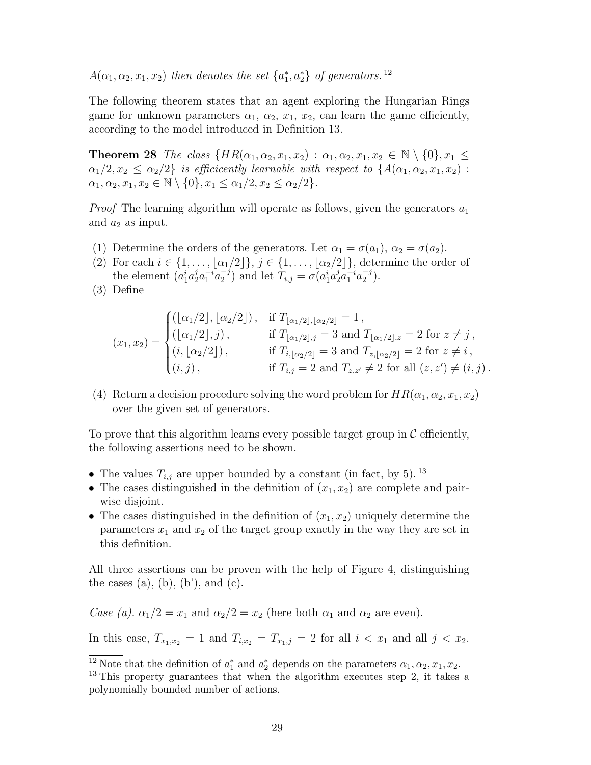$A(\alpha_1, \alpha_2, x_1, x_2)$  then denotes the set  $\{a_1^*, a_2^*\}$  of generators.<sup>12</sup>

The following theorem states that an agent exploring the Hungarian Rings game for unknown parameters  $\alpha_1$ ,  $\alpha_2$ ,  $x_1$ ,  $x_2$ , can learn the game efficiently, according to the model introduced in Definition 13.

**Theorem 28** The class  $\{HR(\alpha_1, \alpha_2, x_1, x_2) : \alpha_1, \alpha_2, x_1, x_2 \in \mathbb{N} \setminus \{0\}, x_1 \leq$  $\alpha_1/2, x_2 \leq \alpha_2/2$  is efficicently learnable with respect to  $\{A(\alpha_1, \alpha_2, x_1, x_2)$ :  $\alpha_1, \alpha_2, x_1, x_2 \in \mathbb{N} \setminus \{0\}, x_1 \leq \alpha_1/2, x_2 \leq \alpha_2/2\}.$ 

*Proof* The learning algorithm will operate as follows, given the generators  $a_1$ and  $a_2$  as input.

- (1) Determine the orders of the generators. Let  $\alpha_1 = \sigma(a_1)$ ,  $\alpha_2 = \sigma(a_2)$ .
- (2) For each  $i \in \{1, \ldots, \lfloor \alpha_1/2 \rfloor\}, j \in \{1, \ldots, \lfloor \alpha_2/2 \rfloor\},\$  determine the order of the element  $(a_1^i a_2^j a_1^{-i} a_2^{-j})$  $(z_2^{-j})$  and let  $T_{i,j} = \sigma(a_1^i a_2^j a_1^{-i} a_2^{-j})$  $\binom{-j}{2}$ .

$$
(x_1, x_2) = \begin{cases} ([\alpha_1/2], [\alpha_2/2]) , & \text{if } T_{[\alpha_1/2], [\alpha_2/2]} = 1 , \\ ([\alpha_1/2], j) , & \text{if } T_{[\alpha_1/2], j} = 3 \text{ and } T_{[\alpha_1/2], z} = 2 \text{ for } z \neq j , \\ (i, [\alpha_2/2]) , & \text{if } T_{i, [\alpha_2/2]} = 3 \text{ and } T_{z, [\alpha_2/2]} = 2 \text{ for } z \neq i , \\ (i, j) , & \text{if } T_{i, j} = 2 \text{ and } T_{z, z'} \neq 2 \text{ for all } (z, z') \neq (i, j). \end{cases}
$$

(4) Return a decision procedure solving the word problem for  $HR(\alpha_1, \alpha_2, x_1, x_2)$ over the given set of generators.

To prove that this algorithm learns every possible target group in  $\mathcal C$  efficiently, the following assertions need to be shown.

- The values  $T_{i,j}$  are upper bounded by a constant (in fact, by 5). <sup>13</sup>
- The cases distinguished in the definition of  $(x_1, x_2)$  are complete and pairwise disjoint.
- The cases distinguished in the definition of  $(x_1, x_2)$  uniquely determine the parameters  $x_1$  and  $x_2$  of the target group exactly in the way they are set in this definition.

All three assertions can be proven with the help of Figure 4, distinguishing the cases  $(a)$ ,  $(b)$ ,  $(b')$ , and  $(c)$ .

Case (a).  $\alpha_1/2 = x_1$  and  $\alpha_2/2 = x_2$  (here both  $\alpha_1$  and  $\alpha_2$  are even).

In this case,  $T_{x_1,x_2} = 1$  and  $T_{i,x_2} = T_{x_1,j} = 2$  for all  $i < x_1$  and all  $j < x_2$ .

<sup>(3)</sup> Define

<sup>&</sup>lt;sup>12</sup> Note that the definition of  $a_1^*$  and  $a_2^*$  depends on the parameters  $\alpha_1, \alpha_2, x_1, x_2$ .

<sup>&</sup>lt;sup>13</sup> This property guarantees that when the algorithm executes step 2, it takes a polynomially bounded number of actions.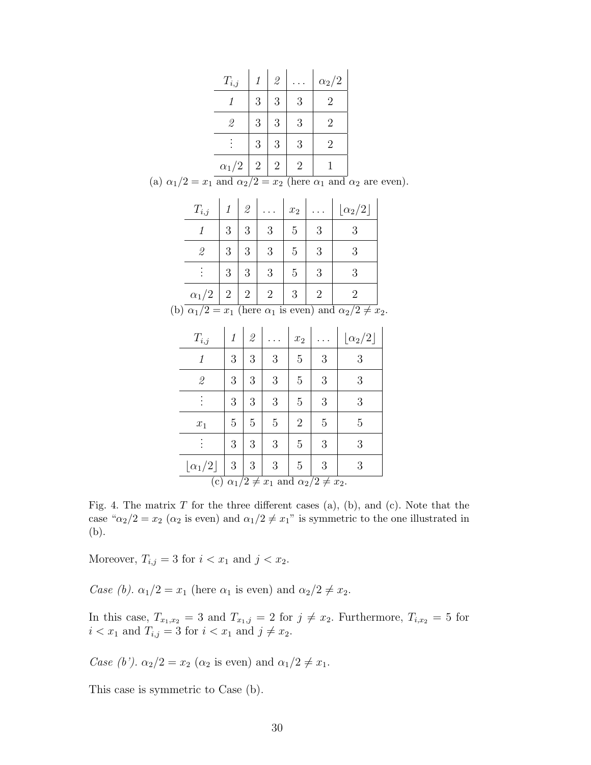| $T_{i,j}$    |                | $\mathcal{Q}$  |   | $\alpha_2/2$   |
|--------------|----------------|----------------|---|----------------|
|              | 3              | 3              | 3 | 2              |
| 2            | 3              | 3              | 3 | $\overline{2}$ |
|              | 3              | 3              | 3 | $\overline{2}$ |
| $\alpha_1/2$ | $\overline{2}$ | $\overline{2}$ | 2 |                |

(a)  $\alpha_1/2 = x_1$  and  $\alpha_2/2 = x_2$  (here  $\alpha_1$  and  $\alpha_2$  are even).

| $T_{i,j}$        | $\mathcal{I}$ | $\mathcal{Q}% _{M_{1},M_{2}}^{\alpha,\beta}(\varepsilon)$ |                | $x_2$          |                        | $\left\lfloor \alpha _{2}/2\right\rfloor$                                    |  |
|------------------|---------------|-----------------------------------------------------------|----------------|----------------|------------------------|------------------------------------------------------------------------------|--|
| 1                | 3             | 3                                                         | 3              | 5              | 3                      | 3                                                                            |  |
| $\mathscr{Q}$    | 3             | 3                                                         | 3              | 5              | 3                      | 3                                                                            |  |
|                  | 3             | 3                                                         | 3              | 5              | 3                      | 3                                                                            |  |
| $\alpha_1/2$   2 |               | $\overline{2}$                                            | $\overline{2}$ | 3              | $\overline{2}$         | $\overline{2}$                                                               |  |
|                  |               |                                                           |                |                |                        | (b) $\alpha_1/2 = x_1$ (here $\alpha_1$ is even) and $\alpha_2/2 \neq x_2$ . |  |
| $T_{i,j}$        | $\it 1$       | $\mathcal{Q}$                                             |                | $x_2$          | $\langle\ldots\rangle$ | $\lfloor \alpha_2/2 \rfloor$                                                 |  |
| 1                | 3             | 3                                                         | 3              | 5              | 3                      | 3                                                                            |  |
| $\mathcal{Q}$    | 3             | 3                                                         | 3              | 5              | 3                      | 3                                                                            |  |
|                  | 3             | 3                                                         | 3              | 5              | 3                      | 3                                                                            |  |
| $x_1$            | 5             | 5                                                         | $\overline{5}$ | $\overline{2}$ | 5                      | 5                                                                            |  |
|                  |               |                                                           |                |                |                        |                                                                              |  |

| $\overline{\phantom{0}}$                              | ◡ | ◡ | ◡ | ິ              | ◡ | $\cdot$ |
|-------------------------------------------------------|---|---|---|----------------|---|---------|
|                                                       | 3 | 3 | 3 | 5              | 3 |         |
| $x_1$                                                 | 5 | 5 | 5 | $\overline{2}$ | 5 | h,      |
|                                                       | 3 | 3 | 3 | 5              | 3 |         |
| $\lfloor \alpha_1/2 \rfloor$ 3                        |   | 3 | 3 | 5              | 3 |         |
| (c) $\alpha_1/2 \neq x_1$ and $\alpha_2/2 \neq x_2$ . |   |   |   |                |   |         |

Fig. 4. The matrix  $T$  for the three different cases (a), (b), and (c). Note that the case " $\alpha_2/2 = x_2$  ( $\alpha_2$  is even) and  $\alpha_1/2 \neq x_1$ " is symmetric to the one illustrated in (b).

Moreover,  $T_{i,j} = 3$  for  $i < x_1$  and  $j < x_2$ .

Case (b).  $\alpha_1/2 = x_1$  (here  $\alpha_1$  is even) and  $\alpha_2/2 \neq x_2$ .

In this case,  $T_{x_1,x_2} = 3$  and  $T_{x_1,j} = 2$  for  $j \neq x_2$ . Furthermore,  $T_{i,x_2} = 5$  for  $i < x_1$  and  $T_{i,j} = 3$  for  $i < x_1$  and  $j \neq x_2$ .

Case (b').  $\alpha_2/2 = x_2$  ( $\alpha_2$  is even) and  $\alpha_1/2 \neq x_1$ .

This case is symmetric to Case (b).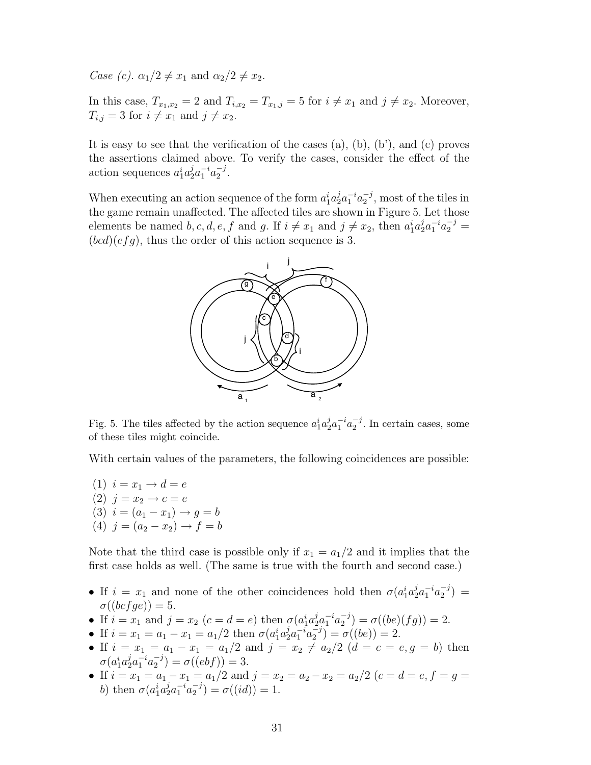Case (c).  $\alpha_1/2 \neq x_1$  and  $\alpha_2/2 \neq x_2$ .

In this case,  $T_{x_1,x_2} = 2$  and  $T_{i,x_2} = T_{x_1,j} = 5$  for  $i \neq x_1$  and  $j \neq x_2$ . Moreover,  $T_{i,j} = 3$  for  $i \neq x_1$  and  $j \neq x_2$ .

It is easy to see that the verification of the cases  $(a)$ ,  $(b)$ ,  $(b')$ , and  $(c)$  proves the assertions claimed above. To verify the cases, consider the effect of the action sequences  $a_1^i a_2^j a_1^{-i} a_2^{-j}$  $\frac{-j}{2}$ .

When executing an action sequence of the form  $a_1^i a_2^j a_1^{-i} a_2^{-j}$  $_2^{-j}$ , most of the tiles in the game remain unaffected. The affected tiles are shown in Figure 5. Let those elements be named b, c, d, e, f and g. If  $i \neq x_1$  and  $j \neq x_2$ , then  $a_1^i a_2^j a_1^{-i} a_2^{-j} =$  $(bcd)(efg)$ , thus the order of this action sequence is 3.



Fig. 5. The tiles affected by the action sequence  $a_1^i a_2^j$  $a_2^{j}a_1^{-i}a_2^{-j}$  $_2^{-j}$ . In certain cases, some of these tiles might coincide.

With certain values of the parameters, the following coincidences are possible:

(1)  $i = x_1 \rightarrow d = e$ (2)  $j = x_2 \to c = e$ (3)  $i = (a_1 - x_1) \rightarrow g = b$ (4)  $j = (a_2 - x_2) \rightarrow f = b$ 

Note that the third case is possible only if  $x_1 = a_1/2$  and it implies that the first case holds as well. (The same is true with the fourth and second case.)

- If  $i = x_1$  and none of the other coincidences hold then  $\sigma(a_1^i a_2^j a_1^{-i} a_2^{-j})$  $\binom{-j}{2} =$  $\sigma((bc fge)) = 5.$
- If  $i = x_1$  and  $j = x_2$   $(c = d = e)$  then  $\sigma(a_1^i a_2^j a_1^{-i} a_2^{-j})$  $\sigma_2^{-j}) = \sigma((be)(fg)) = 2.$
- If  $i = x_1 = a_1 x_1 = a_1/2$  then  $\sigma(a_1^i a_2^j a_1^{-i} a_2^{-j})$  $\binom{-\jmath}{2} = \sigma((be)) = 2.$
- If  $i = x_1 = a_1 x_1 = a_1/2$  and  $j = x_2 \neq a_2/2$   $(d = c = e, g = b)$  then  $\sigma(a_1^ia_2^ja_1^{-i}a_2^{-j})$  $a_2^{-j}$ ) =  $\sigma((ebf)) = 3.$
- If  $i = x_1 = a_1 x_1 = a_1/2$  and  $j = x_2 = a_2 x_2 = a_2/2$   $(c = d = e, f = g =$ b) then  $\sigma(a_1^i a_2^j a_1^{-i} a_2^{-j})$  $\sigma_2^{-j}) = \sigma((id)) = 1.$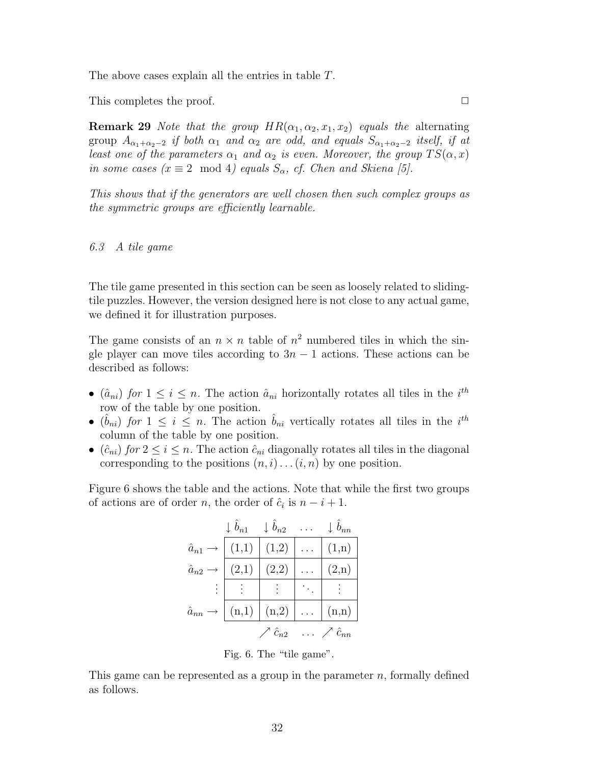The above cases explain all the entries in table T.

This completes the proof.  $\Box$ 

**Remark 29** Note that the group  $HR(\alpha_1, \alpha_2, x_1, x_2)$  equals the alternating group  $A_{\alpha_1+\alpha_2-2}$  if both  $\alpha_1$  and  $\alpha_2$  are odd, and equals  $S_{\alpha_1+\alpha_2-2}$  itself, if at least one of the parameters  $\alpha_1$  and  $\alpha_2$  is even. Moreover, the group  $TS(\alpha, x)$ in some cases ( $x \equiv 2 \mod 4$ ) equals  $S_{\alpha}$ , cf. Chen and Skiena [5].

This shows that if the generators are well chosen then such complex groups as the symmetric groups are efficiently learnable.

#### 6.3 A tile game

The tile game presented in this section can be seen as loosely related to slidingtile puzzles. However, the version designed here is not close to any actual game, we defined it for illustration purposes.

The game consists of an  $n \times n$  table of  $n^2$  numbered tiles in which the single player can move tiles according to  $3n - 1$  actions. These actions can be described as follows:

- $(\hat{a}_{ni})$  for  $1 \leq i \leq n$ . The action  $\hat{a}_{ni}$  horizontally rotates all tiles in the  $i^{th}$ row of the table by one position.
- $(\hat{b}_{ni})$  for  $1 \leq i \leq n$ . The action  $\hat{b}_{ni}$  vertically rotates all tiles in the  $i^{th}$ column of the table by one position.
- $(\hat{c}_{ni})$  for  $2 \le i \le n$ . The action  $\hat{c}_{ni}$  diagonally rotates all tiles in the diagonal corresponding to the positions  $(n, i) \dots (i, n)$  by one position.

Figure 6 shows the table and the actions. Note that while the first two groups of actions are of order *n*, the order of  $\hat{c}_i$  is  $n - i + 1$ .

|                            | $\downarrow \hat{b}_{n1}$ | $\downarrow \hat{b}_{n2}$ | $\downarrow \hat{b}_{nn}$      |
|----------------------------|---------------------------|---------------------------|--------------------------------|
| $\hat{a}_{n1} \rightarrow$ | (1,1)                     | (1,2)                     | (1,n)                          |
| $\hat{a}_{n2}\rightarrow$  | (2,1)                     | $\mid$ $(2,2)$            | (2,n)                          |
|                            |                           |                           |                                |
| $\hat{a}_{nn} \rightarrow$ |                           | $(n,1)$ $(n,2)$ $\ldots$  | (n,n)                          |
|                            |                           | $\nearrow \hat{c}_{n2}$   | $\ldots \nearrow \hat{c}_{nn}$ |

Fig. 6. The "tile game".

This game can be represented as a group in the parameter  $n$ , formally defined as follows.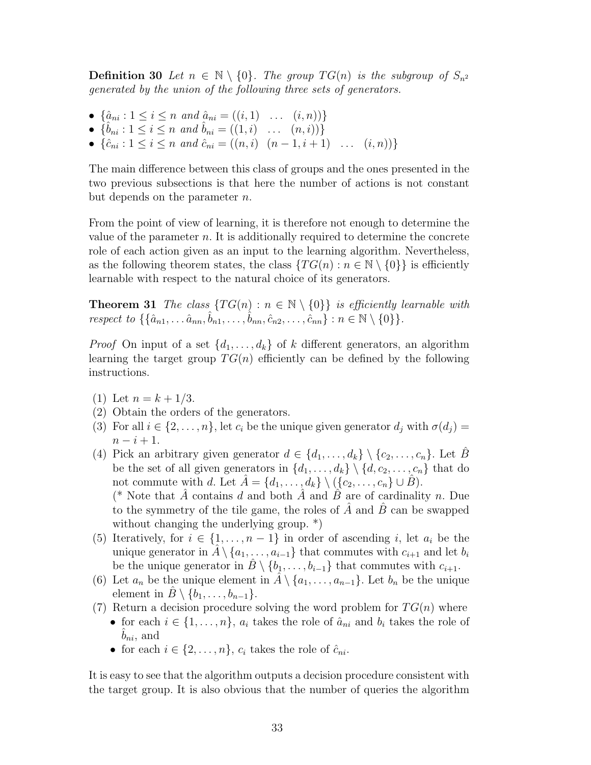**Definition 30** Let  $n \in \mathbb{N} \setminus \{0\}$ . The group  $TG(n)$  is the subgroup of  $S_{n^2}$ generated by the union of the following three sets of generators.

- $\{\hat{a}_{ni} : 1 \le i \le n \text{ and } \hat{a}_{ni} = ((i, 1) \dots (i, n))\}$
- $\{\hat{b}_{ni} : 1 \leq i \leq n \text{ and } \hat{b}_{ni} = ((1, i) \dots (n, i))\}$
- $\{\hat{c}_{ni} : 1 \le i \le n \text{ and } \hat{c}_{ni} = ((n, i) \ (n 1, i + 1) \ \dots \ (i, n))\}$

The main difference between this class of groups and the ones presented in the two previous subsections is that here the number of actions is not constant but depends on the parameter  $n$ .

From the point of view of learning, it is therefore not enough to determine the value of the parameter  $n$ . It is additionally required to determine the concrete role of each action given as an input to the learning algorithm. Nevertheless, as the following theorem states, the class  $\{TG(n): n \in \mathbb{N} \setminus \{0\}\}\$ is efficiently learnable with respect to the natural choice of its generators.

**Theorem 31** The class  $\{TG(n): n \in \mathbb{N} \setminus \{0\}\}\$ is efficiently learnable with respect to  $\{\{\hat{a}_{n1}, \ldots \hat{a}_{nn}, \hat{b}_{n1}, \ldots, \hat{b}_{nn}, \hat{c}_{n2}, \ldots, \hat{c}_{nn}\}: n \in \mathbb{N} \setminus \{0\}\}.$ 

*Proof* On input of a set  $\{d_1, \ldots, d_k\}$  of k different generators, an algorithm learning the target group  $TG(n)$  efficiently can be defined by the following instructions.

- (1) Let  $n = k + 1/3$ .
- (2) Obtain the orders of the generators.
- (3) For all  $i \in \{2, \ldots, n\}$ , let  $c_i$  be the unique given generator  $d_i$  with  $\sigma(d_i)$  $n - i + 1$ .
- (4) Pick an arbitrary given generator  $d \in \{d_1, \ldots, d_k\} \setminus \{c_2, \ldots, c_n\}$ . Let B be the set of all given generators in  $\{d_1, \ldots, d_k\} \setminus \{d, c_2, \ldots, c_n\}$  that do not commute with d. Let  $A = \{d_1, \ldots, d_k\} \setminus (\{c_2, \ldots, c_n\} \cup B).$ (\* Note that  $\tilde{A}$  contains d and both  $\tilde{A}$  and  $\tilde{B}$  are of cardinality n. Due

to the symmetry of the tile game, the roles of  $A$  and  $B$  can be swapped without changing the underlying group.  $*)$ 

- (5) Iteratively, for  $i \in \{1, \ldots, n-1\}$  in order of ascending i, let  $a_i$  be the unique generator in  $\hat{A} \setminus \{a_1, \ldots, a_{i-1}\}\$  that commutes with  $c_{i+1}$  and let  $b_i$ be the unique generator in  $\hat{B} \setminus \{b_1, \ldots, b_{i-1}\}\$  that commutes with  $c_{i+1}$ .
- (6) Let  $a_n$  be the unique element in  $\hat{A} \setminus \{a_1, \ldots, a_{n-1}\}.$  Let  $b_n$  be the unique element in  $B \setminus \{b_1, \ldots, b_{n-1}\}.$
- (7) Return a decision procedure solving the word problem for  $TG(n)$  where
	- for each  $i \in \{1, \ldots, n\}$ ,  $a_i$  takes the role of  $\hat{a}_{ni}$  and  $b_i$  takes the role of  $b_{ni}$ , and
		- for each  $i \in \{2, \ldots, n\}$ ,  $c_i$  takes the role of  $\hat{c}_{ni}$ .

It is easy to see that the algorithm outputs a decision procedure consistent with the target group. It is also obvious that the number of queries the algorithm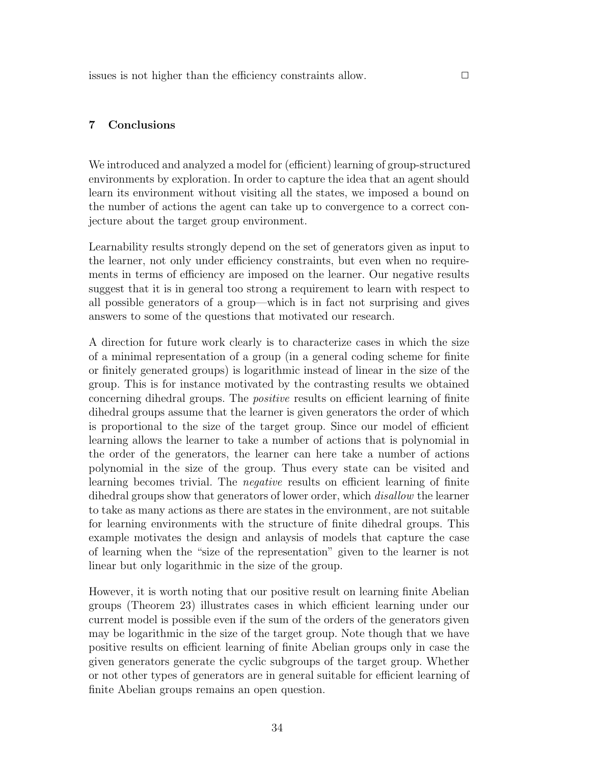## 7 Conclusions

We introduced and analyzed a model for (efficient) learning of group-structured environments by exploration. In order to capture the idea that an agent should learn its environment without visiting all the states, we imposed a bound on the number of actions the agent can take up to convergence to a correct conjecture about the target group environment.

Learnability results strongly depend on the set of generators given as input to the learner, not only under efficiency constraints, but even when no requirements in terms of efficiency are imposed on the learner. Our negative results suggest that it is in general too strong a requirement to learn with respect to all possible generators of a group—which is in fact not surprising and gives answers to some of the questions that motivated our research.

A direction for future work clearly is to characterize cases in which the size of a minimal representation of a group (in a general coding scheme for finite or finitely generated groups) is logarithmic instead of linear in the size of the group. This is for instance motivated by the contrasting results we obtained concerning dihedral groups. The positive results on efficient learning of finite dihedral groups assume that the learner is given generators the order of which is proportional to the size of the target group. Since our model of efficient learning allows the learner to take a number of actions that is polynomial in the order of the generators, the learner can here take a number of actions polynomial in the size of the group. Thus every state can be visited and learning becomes trivial. The negative results on efficient learning of finite dihedral groups show that generators of lower order, which *disallow* the learner to take as many actions as there are states in the environment, are not suitable for learning environments with the structure of finite dihedral groups. This example motivates the design and anlaysis of models that capture the case of learning when the "size of the representation" given to the learner is not linear but only logarithmic in the size of the group.

However, it is worth noting that our positive result on learning finite Abelian groups (Theorem 23) illustrates cases in which efficient learning under our current model is possible even if the sum of the orders of the generators given may be logarithmic in the size of the target group. Note though that we have positive results on efficient learning of finite Abelian groups only in case the given generators generate the cyclic subgroups of the target group. Whether or not other types of generators are in general suitable for efficient learning of finite Abelian groups remains an open question.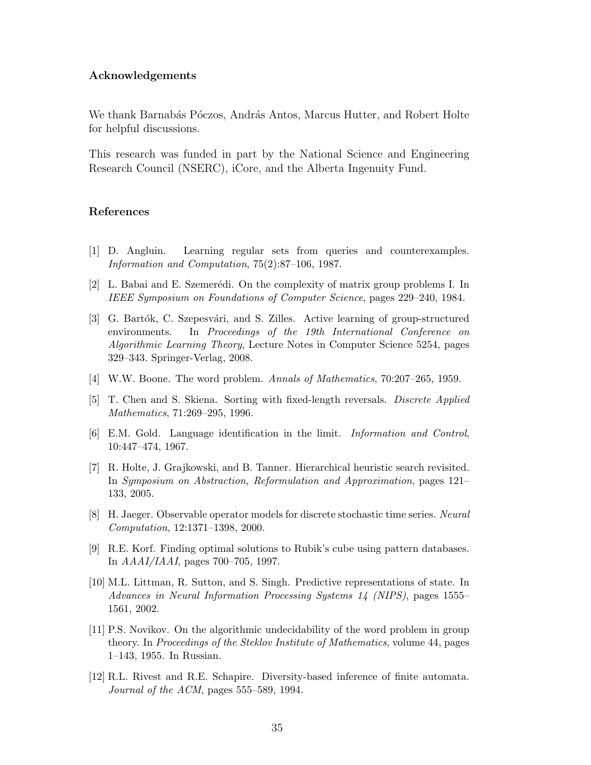#### Acknowledgements

We thank Barnabás Póczos, András Antos, Marcus Hutter, and Robert Holte for helpful discussions.

This research was funded in part by the National Science and Engineering Research Council (NSERC), iCore, and the Alberta Ingenuity Fund.

#### References

- [1] D. Angluin. Learning regular sets from queries and counterexamples. Information and Computation, 75(2):87–106, 1987.
- [2] L. Babai and E. Szemerédi. On the complexity of matrix group problems I. In IEEE Symposium on Foundations of Computer Science, pages 229–240, 1984.
- [3] G. Bartók, C. Szepesvári, and S. Zilles. Active learning of group-structured environments. In Proceedings of the 19th International Conference on Algorithmic Learning Theory, Lecture Notes in Computer Science 5254, pages 329–343. Springer-Verlag, 2008.
- [4] W.W. Boone. The word problem. Annals of Mathematics, 70:207–265, 1959.
- [5] T. Chen and S. Skiena. Sorting with fixed-length reversals. Discrete Applied Mathematics, 71:269–295, 1996.
- [6] E.M. Gold. Language identification in the limit. Information and Control, 10:447–474, 1967.
- [7] R. Holte, J. Grajkowski, and B. Tanner. Hierarchical heuristic search revisited. In Symposium on Abstraction, Reformulation and Approximation, pages 121– 133, 2005.
- [8] H. Jaeger. Observable operator models for discrete stochastic time series. Neural Computation, 12:1371–1398, 2000.
- [9] R.E. Korf. Finding optimal solutions to Rubik's cube using pattern databases. In AAAI/IAAI, pages 700–705, 1997.
- [10] M.L. Littman, R. Sutton, and S. Singh. Predictive representations of state. In Advances in Neural Information Processing Systems 14 (NIPS), pages 1555– 1561, 2002.
- [11] P.S. Novikov. On the algorithmic undecidability of the word problem in group theory. In Proceedings of the Steklov Institute of Mathematics, volume 44, pages 1–143, 1955. In Russian.
- [12] R.L. Rivest and R.E. Schapire. Diversity-based inference of finite automata. Journal of the ACM, pages 555–589, 1994.